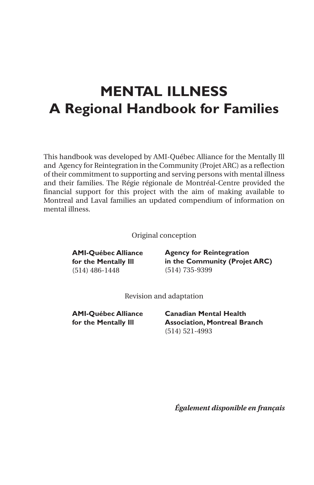### **MENTAL ILLNESS A Regional Handbook for Families**

This handbook was developed by AMI-Québec Alliance for the Mentally Ill and Agency for Reintegration in the Community (Projet ARC) as a reflection of their commitment to supporting and serving persons with mental illness and their families. The Régie régionale de Montréal-Centre provided the financial support for this project with the aim of making available to Montreal and Laval families an updated compendium of information on mental illness.

Original conception

**AMI-Québec Alliance for the Mentally Ill** (514) 486-1448

**Agency for Reintegration in the Community (Projet ARC)** (514) 735-9399

Revision and adaptation

**AMI-Québec Alliance for the Mentally Ill**

**Canadian Mental Health Association, Montreal Branch** (514) 521-4993

*Également disponible en français*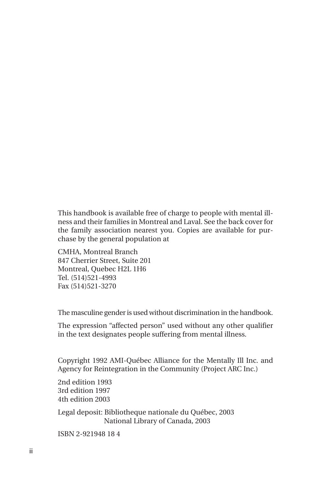This handbook is available free of charge to people with mental illness and their families in Montreal and Laval. See the back cover for the family association nearest you. Copies are available for purchase by the general population at

CMHA, Montreal Branch 847 Cherrier Street, Suite 201 Montreal, Quebec H2L 1H6 Tel. (514)521-4993 Fax (514)521-3270

The masculine gender is used without discrimination in the handbook.

The expression "affected person" used without any other qualifier in the text designates people suffering from mental illness.

Copyright 1992 AMI-Québec Alliance for the Mentally Ill Inc. and Agency for Reintegration in the Community (Project ARC Inc.)

2nd edition 1993 3rd edition 1997 4th edition 2003

Legal deposit: Bibliotheque nationale du Québec, 2003 National Library of Canada, 2003

ISBN 2-921948 18 4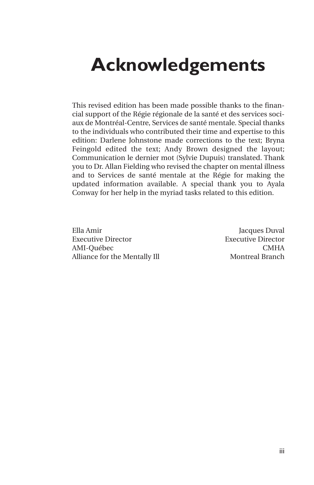## **Acknowledgements**

This revised edition has been made possible thanks to the financial support of the Régie régionale de la santé et des services sociaux de Montréal-Centre, Services de santé mentale. Special thanks to the individuals who contributed their time and expertise to this edition: Darlene Johnstone made corrections to the text; Bryna Feingold edited the text; Andy Brown designed the layout; Communication le dernier mot (Sylvie Dupuis) translated. Thank you to Dr. Allan Fielding who revised the chapter on mental illness and to Services de santé mentale at the Régie for making the updated information available. A special thank you to Ayala Conway for her help in the myriad tasks related to this edition.

Ella Amir Jacques Duval Executive Director Executive Director AMI-Québec CMHA Alliance for the Mentally Ill Montreal Branch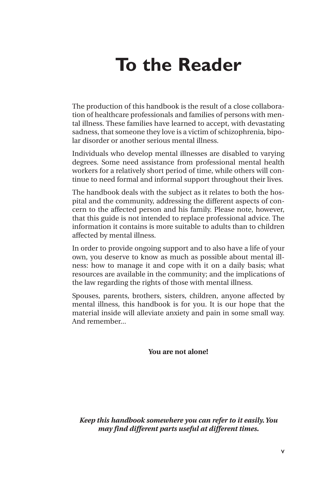# **To the Reader**

The production of this handbook is the result of a close collaboration of healthcare professionals and families of persons with mental illness. These families have learned to accept, with devastating sadness, that someone they love is a victim of schizophrenia, bipolar disorder or another serious mental illness.

Individuals who develop mental illnesses are disabled to varying degrees. Some need assistance from professional mental health workers for a relatively short period of time, while others will continue to need formal and informal support throughout their lives.

The handbook deals with the subject as it relates to both the hospital and the community, addressing the different aspects of concern to the affected person and his family. Please note, however, that this guide is not intended to replace professional advice. The information it contains is more suitable to adults than to children affected by mental illness.

In order to provide ongoing support and to also have a life of your own, you deserve to know as much as possible about mental illness: how to manage it and cope with it on a daily basis; what resources are available in the community; and the implications of the law regarding the rights of those with mental illness.

Spouses, parents, brothers, sisters, children, anyone affected by mental illness, this handbook is for you. It is our hope that the material inside will alleviate anxiety and pain in some small way. And remember...

**You are not alone!**

*Keep this handbook somewhere you can refer to it easily. You may find different parts useful at different times.*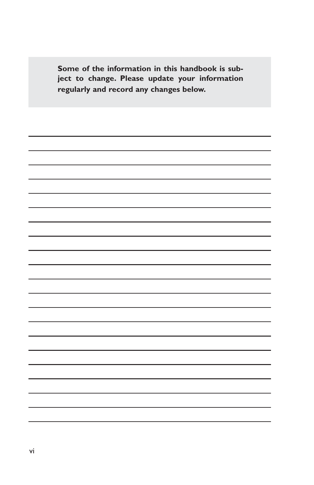**Some of the information in this handbook is subject to change. Please update your information regularly and record any changes below.**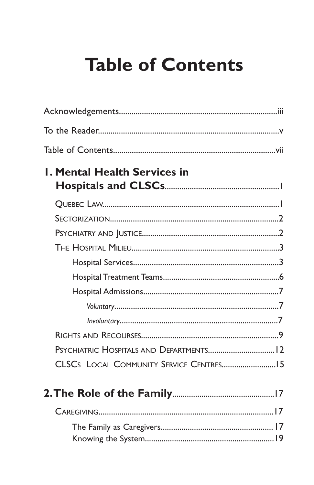# **Table of Contents**

| <b>L. Mental Health Services in</b>      |  |
|------------------------------------------|--|
|                                          |  |
|                                          |  |
|                                          |  |
|                                          |  |
|                                          |  |
|                                          |  |
|                                          |  |
|                                          |  |
|                                          |  |
|                                          |  |
|                                          |  |
| PSYCHIATRIC HOSPITALS AND DEPARTMENTS 12 |  |
|                                          |  |
|                                          |  |
|                                          |  |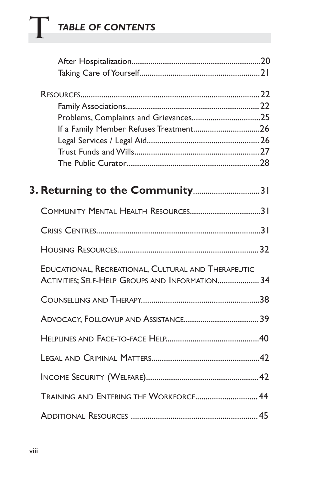# **T** *TABLE OF CONTENTS*

| COMMUNITY MENTAL HEALTH RESOURCES31                                                                    |  |
|--------------------------------------------------------------------------------------------------------|--|
|                                                                                                        |  |
|                                                                                                        |  |
| EDUCATIONAL, RECREATIONAL, CULTURAL AND THERAPEUTIC<br>ACTIVITIES; SELF-HELP GROUPS AND INFORMATION 34 |  |
|                                                                                                        |  |
|                                                                                                        |  |
|                                                                                                        |  |
|                                                                                                        |  |
|                                                                                                        |  |
| TRAINING AND ENTERING THE WORKFORCE 44                                                                 |  |
|                                                                                                        |  |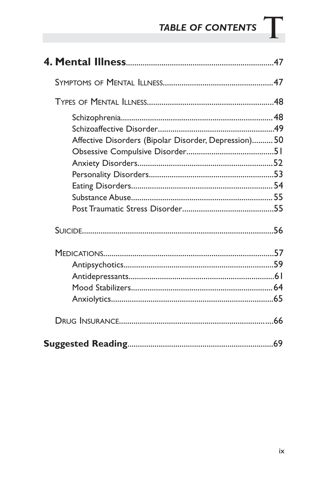# TABLE OF CONTENTS  $\mathbf T$

| Affective Disorders (Bipolar Disorder, Depression) 50 |  |
|-------------------------------------------------------|--|
|                                                       |  |
|                                                       |  |
|                                                       |  |
|                                                       |  |
|                                                       |  |
|                                                       |  |
|                                                       |  |
|                                                       |  |
|                                                       |  |
|                                                       |  |
|                                                       |  |
|                                                       |  |
|                                                       |  |
|                                                       |  |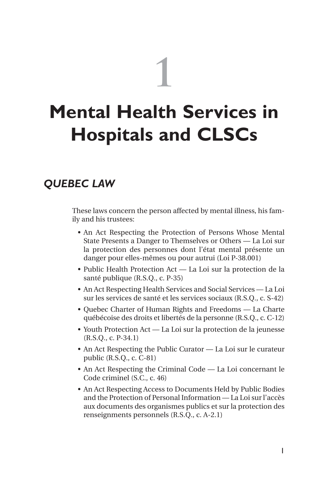# **1**

# **Mental Health Services in Hospitals and CLSCs**

#### *QUEBEC LAW*

These laws concern the person affected by mental illness, his family and his trustees:

- An Act Respecting the Protection of Persons Whose Mental State Presents a Danger to Themselves or Others — La Loi sur la protection des personnes dont l'état mental présente un danger pour elles-mêmes ou pour autrui (Loi P-38.001)
- Public Health Protection Act La Loi sur la protection de la santé publique (R.S.Q., c. P-35)
- An Act Respecting Health Services and Social Services La Loi sur les services de santé et les services sociaux (R.S.Q., c. S-42)
- Quebec Charter of Human Rights and Freedoms La Charte québécoise des droits et libertés de la personne (R.S.Q., c. C-12)
- Youth Protection Act La Loi sur la protection de la jeunesse (R.S.Q., c. P-34.1)
- An Act Respecting the Public Curator La Loi sur le curateur public (R.S.Q., c. C-81)
- An Act Respecting the Criminal Code La Loi concernant le Code criminel (S.C., c. 46)
- An Act Respecting Access to Documents Held by Public Bodies and the Protection of Personal Information — La Loi sur l'accès aux documents des organismes publics et sur la protection des renseignments personnels (R.S.Q., c. A-2.1)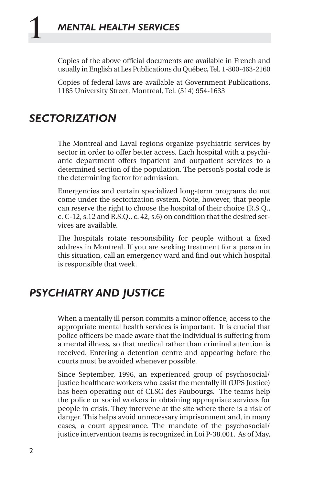Copies of the above official documents are available in French and usually in English at Les Publications du Québec, Tel. 1-800-463-2160

Copies of federal laws are available at Government Publications, 1185 University Street, Montreal, Tel. (514) 954-1633

#### *SECTORIZATION*

The Montreal and Laval regions organize psychiatric services by sector in order to offer better access. Each hospital with a psychiatric department offers inpatient and outpatient services to a determined section of the population. The person's postal code is the determining factor for admission.

Emergencies and certain specialized long-term programs do not come under the sectorization system. Note, however, that people can reserve the right to choose the hospital of their choice (R.S.Q., c. C-12, s.12 and R.S.Q., c. 42, s.6) on condition that the desired services are available.

The hospitals rotate responsibility for people without a fixed address in Montreal. If you are seeking treatment for a person in this situation, call an emergency ward and find out which hospital is responsible that week.

#### *PSYCHIATRY AND JUSTICE*

When a mentally ill person commits a minor offence, access to the appropriate mental health services is important. It is crucial that police officers be made aware that the individual is suffering from a mental illness, so that medical rather than criminal attention is received. Entering a detention centre and appearing before the courts must be avoided whenever possible.

Since September, 1996, an experienced group of psychosocial/ justice healthcare workers who assist the mentally ill (UPS Justice) has been operating out of CLSC des Faubourgs. The teams help the police or social workers in obtaining appropriate services for people in crisis. They intervene at the site where there is a risk of danger. This helps avoid unnecessary imprisonment and, in many cases, a court appearance. The mandate of the psychosocial/ justice intervention teams is recognized in Loi P-38.001. As of May,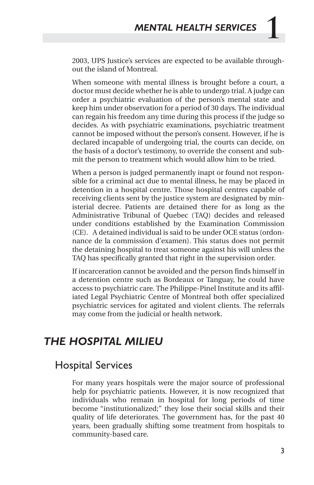2003, UPS Justice's services are expected to be available throughout the island of Montreal.

When someone with mental illness is brought before a court, a doctor must decide whether he is able to undergo trial. A judge can order a psychiatric evaluation of the person's mental state and keep him under observation for a period of 30 days. The individual can regain his freedom any time during this process if the judge so decides. As with psychiatric examinations, psychiatric treatment cannot be imposed without the person's consent. However, if he is declared incapable of undergoing trial, the courts can decide, on the basis of a doctor's testimony, to override the consent and submit the person to treatment which would allow him to be tried.

When a person is judged permanently inapt or found not responsible for a criminal act due to mental illness, he may be placed in detention in a hospital centre. Those hospital centres capable of receiving clients sent by the justice system are designated by ministerial decree. Patients are detained there for as long as the Administrative Tribunal of Quebec (TAQ) decides and released under conditions established by the Examination Commission (CE). A detained individual is said to be under OCE status (ordonnance de la commission d'examen). This status does not permit the detaining hospital to treat someone against his will unless the TAQ has specifically granted that right in the supervision order.

If incarceration cannot be avoided and the person finds himself in a detention centre such as Bordeaux or Tanguay, he could have access to psychiatric care. The Philippe-Pinel Institute and its affiliated Legal Psychiatric Centre of Montreal both offer specialized psychiatric services for agitated and violent clients. The referrals may come from the judicial or health network.

#### *THE HOSPITAL MILIEU*

#### Hospital Services

For many years hospitals were the major source of professional help for psychiatric patients. However, it is now recognized that individuals who remain in hospital for long periods of time become "institutionalized;" they lose their social skills and their quality of life deteriorates. The government has, for the past 40 years, been gradually shifting some treatment from hospitals to community-based care.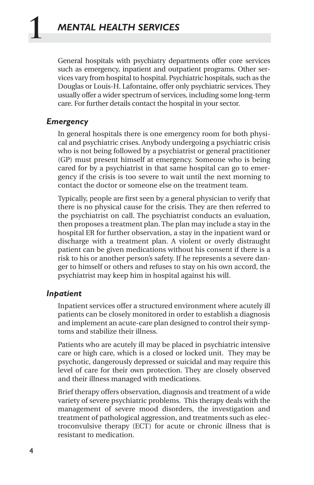General hospitals with psychiatry departments offer core services such as emergency, inpatient and outpatient programs. Other services vary from hospital to hospital. Psychiatric hospitals, such as the Douglas or Louis-H. Lafontaine, offer only psychiatric services. They usually offer a wider spectrum of services, including some long-term care. For further details contact the hospital in your sector.

#### *Emergency*

In general hospitals there is one emergency room for both physical and psychiatric crises. Anybody undergoing a psychiatric crisis who is not being followed by a psychiatrist or general practitioner (GP) must present himself at emergency. Someone who is being cared for by a psychiatrist in that same hospital can go to emergency if the crisis is too severe to wait until the next morning to contact the doctor or someone else on the treatment team.

Typically, people are first seen by a general physician to verify that there is no physical cause for the crisis. They are then referred to the psychiatrist on call. The psychiatrist conducts an evaluation, then proposes a treatment plan. The plan may include a stay in the hospital ER for further observation, a stay in the inpatient ward or discharge with a treatment plan. A violent or overly distraught patient can be given medications without his consent if there is a risk to his or another person's safety. If he represents a severe danger to himself or others and refuses to stay on his own accord, the psychiatrist may keep him in hospital against his will.

#### *Inpatient*

Inpatient services offer a structured environment where acutely ill patients can be closely monitored in order to establish a diagnosis and implement an acute-care plan designed to control their symptoms and stabilize their illness.

Patients who are acutely ill may be placed in psychiatric intensive care or high care, which is a closed or locked unit. They may be psychotic, dangerously depressed or suicidal and may require this level of care for their own protection. They are closely observed and their illness managed with medications.

Brief therapy offers observation, diagnosis and treatment of a wide variety of severe psychiatric problems. This therapy deals with the management of severe mood disorders, the investigation and treatment of pathological aggression, and treatments such as electroconvulsive therapy (ECT) for acute or chronic illness that is resistant to medication.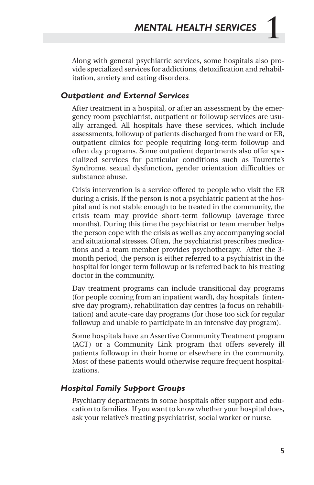Along with general psychiatric services, some hospitals also provide specialized services for addictions, detoxification and rehabilitation, anxiety and eating disorders.

#### *Outpatient and External Services*

After treatment in a hospital, or after an assessment by the emergency room psychiatrist, outpatient or followup services are usually arranged. All hospitals have these services, which include assessments, followup of patients discharged from the ward or ER, outpatient clinics for people requiring long-term followup and often day programs. Some outpatient departments also offer specialized services for particular conditions such as Tourette's Syndrome, sexual dysfunction, gender orientation difficulties or substance abuse.

Crisis intervention is a service offered to people who visit the ER during a crisis. If the person is not a psychiatric patient at the hospital and is not stable enough to be treated in the community, the crisis team may provide short-term followup (average three months). During this time the psychiatrist or team member helps the person cope with the crisis as well as any accompanying social and situational stresses. Often, the psychiatrist prescribes medications and a team member provides psychotherapy. After the 3 month period, the person is either referred to a psychiatrist in the hospital for longer term followup or is referred back to his treating doctor in the community.

Day treatment programs can include transitional day programs (for people coming from an inpatient ward), day hospitals (intensive day program), rehabilitation day centres (a focus on rehabilitation) and acute-care day programs (for those too sick for regular followup and unable to participate in an intensive day program).

Some hospitals have an Assertive Community Treatment program (ACT) or a Community Link program that offers severely ill patients followup in their home or elsewhere in the community. Most of these patients would otherwise require frequent hospitalizations.

#### *Hospital Family Support Groups*

Psychiatry departments in some hospitals offer support and education to families. If you want to know whether your hospital does, ask your relative's treating psychiatrist, social worker or nurse.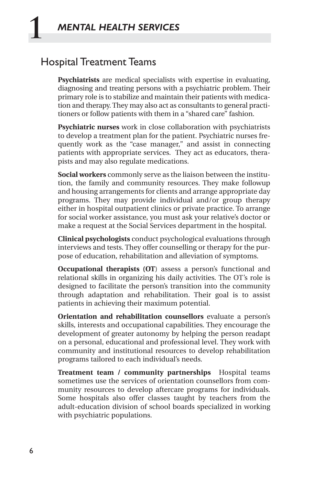#### Hospital Treatment Teams

**Psychiatrists** are medical specialists with expertise in evaluating, diagnosing and treating persons with a psychiatric problem. Their primary role is to stabilize and maintain their patients with medication and therapy. They may also act as consultants to general practitioners or follow patients with them in a "shared care" fashion.

**Psychiatric nurses** work in close collaboration with psychiatrists to develop a treatment plan for the patient. Psychiatric nurses frequently work as the "case manager," and assist in connecting patients with appropriate services. They act as educators, therapists and may also regulate medications.

**Social workers** commonly serve as the liaison between the institution, the family and community resources. They make followup and housing arrangements for clients and arrange appropriate day programs. They may provide individual and/or group therapy either in hospital outpatient clinics or private practice. To arrange for social worker assistance, you must ask your relative's doctor or make a request at the Social Services department in the hospital.

**Clinical psychologists** conduct psychological evaluations through interviews and tests. They offer counselling or therapy for the purpose of education, rehabilitation and alleviation of symptoms.

**Occupational therapists (OT**) assess a person's functional and relational skills in organizing his daily activities. The OT's role is designed to facilitate the person's transition into the community through adaptation and rehabilitation. Their goal is to assist patients in achieving their maximum potential.

**Orientation and rehabilitation counsellors** evaluate a person's skills, interests and occupational capabilities. They encourage the development of greater autonomy by helping the person readapt on a personal, educational and professional level. They work with community and institutional resources to develop rehabilitation programs tailored to each individual's needs.

**Treatment team / community partnerships** Hospital teams sometimes use the services of orientation counsellors from community resources to develop aftercare programs for individuals. Some hospitals also offer classes taught by teachers from the adult-education division of school boards specialized in working with psychiatric populations.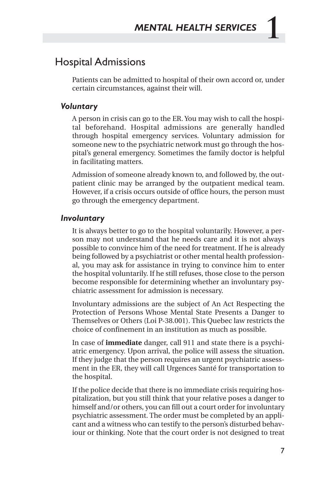#### Hospital Admissions

Patients can be admitted to hospital of their own accord or, under certain circumstances, against their will.

#### *Voluntary*

A person in crisis can go to the ER. You may wish to call the hospital beforehand. Hospital admissions are generally handled through hospital emergency services. Voluntary admission for someone new to the psychiatric network must go through the hospital's general emergency. Sometimes the family doctor is helpful in facilitating matters.

Admission of someone already known to, and followed by, the outpatient clinic may be arranged by the outpatient medical team. However, if a crisis occurs outside of office hours, the person must go through the emergency department.

#### *Involuntary*

It is always better to go to the hospital voluntarily. However, a person may not understand that he needs care and it is not always possible to convince him of the need for treatment. If he is already being followed by a psychiatrist or other mental health professional, you may ask for assistance in trying to convince him to enter the hospital voluntarily. If he still refuses, those close to the person become responsible for determining whether an involuntary psychiatric assessment for admission is necessary.

Involuntary admissions are the subject of An Act Respecting the Protection of Persons Whose Mental State Presents a Danger to Themselves or Others (Loi P-38.001). This Quebec law restricts the choice of confinement in an institution as much as possible.

In case of **immediate** danger, call 911 and state there is a psychiatric emergency. Upon arrival, the police will assess the situation. If they judge that the person requires an urgent psychiatric assessment in the ER, they will call Urgences Santé for transportation to the hospital.

If the police decide that there is no immediate crisis requiring hospitalization, but you still think that your relative poses a danger to himself and/or others, you can fill out a court order for involuntary psychiatric assessment. The order must be completed by an applicant and a witness who can testify to the person's disturbed behaviour or thinking. Note that the court order is not designed to treat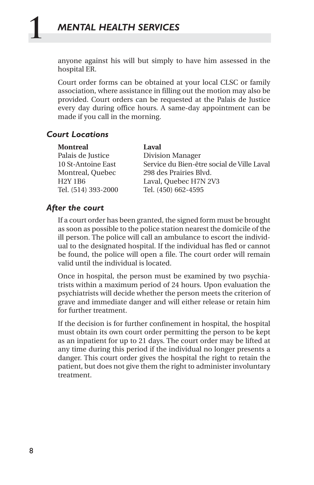anyone against his will but simply to have him assessed in the hospital ER.

Court order forms can be obtained at your local CLSC or family association, where assistance in filling out the motion may also be provided. Court orders can be requested at the Palais de Justice every day during office hours. A same-day appointment can be made if you call in the morning.

#### *Court Locations*

| <b>Montreal</b> | Laval |
|-----------------|-------|
|-----------------|-------|

Palais de Justice Division Manager 10 St-Antoine East Service du Bien-être social de Ville Laval Montreal, Quebec 298 des Prairies Blvd. H2Y 1B6 Laval, Quebec H7N 2V3 Tel. (514) 393-2000 Tel. (450) 662-4595

#### *After the court*

If a court order has been granted, the signed form must be brought as soon as possible to the police station nearest the domicile of the ill person. The police will call an ambulance to escort the individual to the designated hospital. If the individual has fled or cannot be found, the police will open a file. The court order will remain valid until the individual is located.

Once in hospital, the person must be examined by two psychiatrists within a maximum period of 24 hours. Upon evaluation the psychiatrists will decide whether the person meets the criterion of grave and immediate danger and will either release or retain him for further treatment.

If the decision is for further confinement in hospital, the hospital must obtain its own court order permitting the person to be kept as an inpatient for up to 21 days. The court order may be lifted at any time during this period if the individual no longer presents a danger. This court order gives the hospital the right to retain the patient, but does not give them the right to administer involuntary treatment.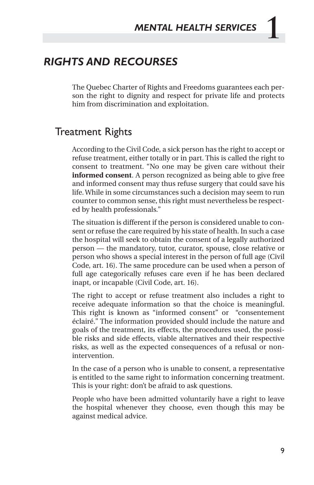#### *RIGHTS AND RECOURSES*

The Quebec Charter of Rights and Freedoms guarantees each person the right to dignity and respect for private life and protects him from discrimination and exploitation.

#### Treatment Rights

According to the Civil Code, a sick person has the right to accept or refuse treatment, either totally or in part. This is called the right to consent to treatment. "No one may be given care without their **informed consent**. A person recognized as being able to give free and informed consent may thus refuse surgery that could save his life. While in some circumstances such a decision may seem to run counter to common sense, this right must nevertheless be respected by health professionals."

The situation is different if the person is considered unable to consent or refuse the care required by his state of health. In such a case the hospital will seek to obtain the consent of a legally authorized person — the mandatory, tutor, curator, spouse, close relative or person who shows a special interest in the person of full age (Civil Code, art. 16). The same procedure can be used when a person of full age categorically refuses care even if he has been declared inapt, or incapable (Civil Code, art. 16).

The right to accept or refuse treatment also includes a right to receive adequate information so that the choice is meaningful. This right is known as "informed consent" or "consentement éclairé." The information provided should include the nature and goals of the treatment, its effects, the procedures used, the possible risks and side effects, viable alternatives and their respective risks, as well as the expected consequences of a refusal or nonintervention.

In the case of a person who is unable to consent, a representative is entitled to the same right to information concerning treatment. This is your right: don't be afraid to ask questions.

People who have been admitted voluntarily have a right to leave the hospital whenever they choose, even though this may be against medical advice.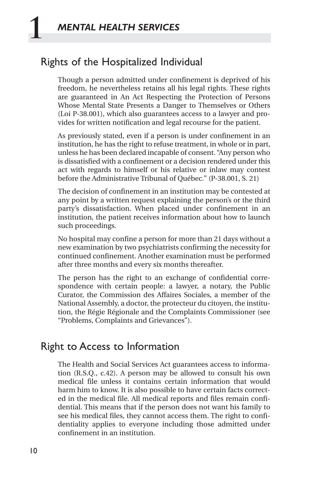#### Rights of the Hospitalized Individual

Though a person admitted under confinement is deprived of his freedom, he nevertheless retains all his legal rights. These rights are guaranteed in An Act Respecting the Protection of Persons Whose Mental State Presents a Danger to Themselves or Others (Loi P-38.001), which also guarantees access to a lawyer and provides for written notification and legal recourse for the patient.

As previously stated, even if a person is under confinement in an institution, he has the right to refuse treatment, in whole or in part, unless he has been declared incapable of consent. "Any person who is dissatisfied with a confinement or a decision rendered under this act with regards to himself or his relative or inlaw may contest before the Administrative Tribunal of Québec." (P-38.001, S. 21)

The decision of confinement in an institution may be contested at any point by a written request explaining the person's or the third party's dissatisfaction. When placed under confinement in an institution, the patient receives information about how to launch such proceedings.

No hospital may confine a person for more than 21 days without a new examination by two psychiatrists confirming the necessity for continued confinement. Another examination must be performed after three months and every six months thereafter.

The person has the right to an exchange of confidential correspondence with certain people: a lawyer, a notary, the Public Curator, the Commission des Affaires Sociales, a member of the National Assembly, a doctor, the protecteur du citoyen, the institution, the Régie Régionale and the Complaints Commissioner (see "Problems, Complaints and Grievances").

#### Right to Access to Information

The Health and Social Services Act guarantees access to information (R.S.Q., c.42). A person may be allowed to consult his own medical file unless it contains certain information that would harm him to know. It is also possible to have certain facts corrected in the medical file. All medical reports and files remain confidential. This means that if the person does not want his family to see his medical files, they cannot access them. The right to confidentiality applies to everyone including those admitted under confinement in an institution.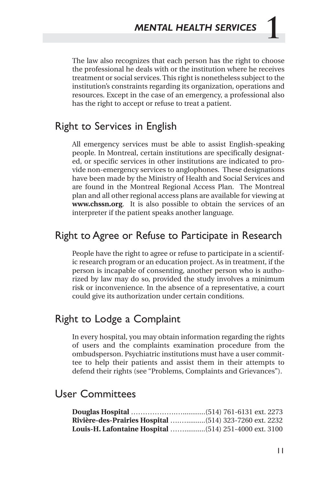The law also recognizes that each person has the right to choose the professional he deals with or the institution where he receives treatment or social services. This right is nonetheless subject to the institution's constraints regarding its organization, operations and resources. Except in the case of an emergency, a professional also has the right to accept or refuse to treat a patient.

#### Right to Services in English

All emergency services must be able to assist English-speaking people. In Montreal, certain institutions are specifically designated, or specific services in other institutions are indicated to provide non-emergency services to anglophones. These designations have been made by the Ministry of Health and Social Services and are found in the Montreal Regional Access Plan. The Montreal plan and all other regional access plans are available for viewing at **www.chssn.org**. It is also possible to obtain the services of an interpreter if the patient speaks another language.

#### Right to Agree or Refuse to Participate in Research

People have the right to agree or refuse to participate in a scientific research program or an education project. As in treatment, if the person is incapable of consenting, another person who is authorized by law may do so, provided the study involves a minimum risk or inconvenience. In the absence of a representative, a court could give its authorization under certain conditions.

#### Right to Lodge a Complaint

In every hospital, you may obtain information regarding the rights of users and the complaints examination procedure from the ombudsperson. Psychiatric institutions must have a user committee to help their patients and assist them in their attempts to defend their rights (see "Problems, Complaints and Grievances").

#### User Committees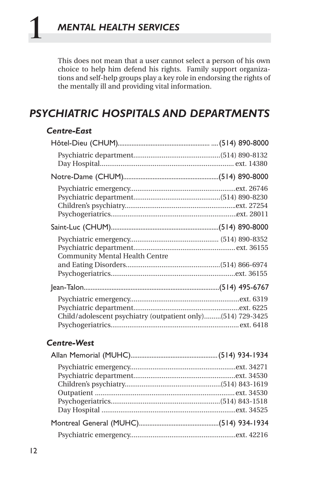This does not mean that a user cannot select a person of his own choice to help him defend his rights. Family support organizations and self-help groups play a key role in endorsing the rights of the mentally ill and providing vital information.

#### *PSYCHIATRIC HOSPITALS AND DEPARTMENTS*

#### *Centre-East*

| <b>Community Mental Health Centre</b>                       |  |
|-------------------------------------------------------------|--|
|                                                             |  |
|                                                             |  |
| Child/adolescent psychiatry (outpatient only)(514) 729-3425 |  |

#### *Centre-West*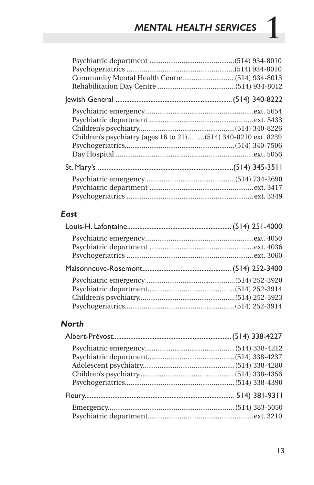## **1** *MENTAL HEALTH SERVICES*

| Children's psychiatry (ages 16 to 21)(514) 340-8210 ext. 8239 |  |
|---------------------------------------------------------------|--|
|                                                               |  |
|                                                               |  |
|                                                               |  |
|                                                               |  |
|                                                               |  |
|                                                               |  |
|                                                               |  |

#### *East*

#### *North*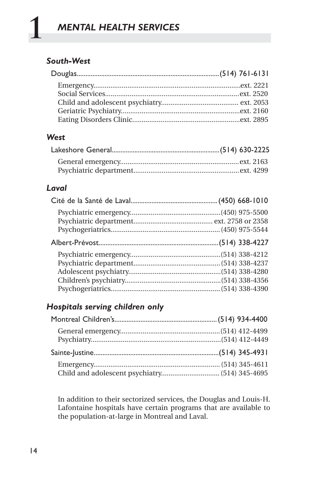#### *South-West*

#### *West*

#### *Laval*

#### *Hospitals serving children only*

In addition to their sectorized services, the Douglas and Louis-H. Lafontaine hospitals have certain programs that are available to the population-at-large in Montreal and Laval.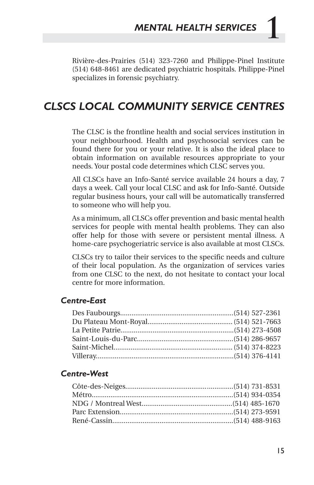Rivière-des-Prairies (514) 323-7260 and Philippe-Pinel Institute (514) 648-8461 are dedicated psychiatric hospitals. Philippe-Pinel specializes in forensic psychiatry.

#### *CLSCS LOCAL COMMUNITY SERVICE CENTRES*

The CLSC is the frontline health and social services institution in your neighbourhood. Health and psychosocial services can be found there for you or your relative. It is also the ideal place to obtain information on available resources appropriate to your needs. Your postal code determines which CLSC serves you.

All CLSCs have an Info-Santé service available 24 hours a day, 7 days a week. Call your local CLSC and ask for Info-Santé. Outside regular business hours, your call will be automatically transferred to someone who will help you.

As a minimum, all CLSCs offer prevention and basic mental health services for people with mental health problems. They can also offer help for those with severe or persistent mental illness. A home-care psychogeriatric service is also available at most CLSCs.

CLSCs try to tailor their services to the specific needs and culture of their local population. As the organization of services varies from one CLSC to the next, do not hesitate to contact your local centre for more information.

#### *Centre-East*

#### *Centre-West*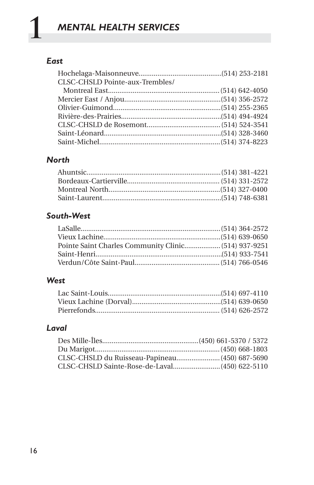#### *East*

| CLSC-CHSLD Pointe-aux-Trembles/ |  |
|---------------------------------|--|
|                                 |  |
|                                 |  |
|                                 |  |
|                                 |  |
|                                 |  |
|                                 |  |
|                                 |  |

#### *North*

#### *South-West*

#### *West*

#### *Laval*

| CLSC-CHSLD du Ruisseau-Papineau (450) 687-5690 |  |
|------------------------------------------------|--|
|                                                |  |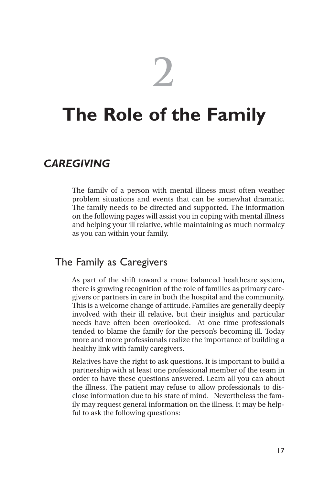**2**

## **The Role of the Family**

#### *CAREGIVING*

The family of a person with mental illness must often weather problem situations and events that can be somewhat dramatic. The family needs to be directed and supported. The information on the following pages will assist you in coping with mental illness and helping your ill relative, while maintaining as much normalcy as you can within your family.

#### The Family as Caregivers

As part of the shift toward a more balanced healthcare system, there is growing recognition of the role of families as primary caregivers or partners in care in both the hospital and the community. This is a welcome change of attitude. Families are generally deeply involved with their ill relative, but their insights and particular needs have often been overlooked. At one time professionals tended to blame the family for the person's becoming ill. Today more and more professionals realize the importance of building a healthy link with family caregivers.

Relatives have the right to ask questions. It is important to build a partnership with at least one professional member of the team in order to have these questions answered. Learn all you can about the illness. The patient may refuse to allow professionals to disclose information due to his state of mind. Nevertheless the family may request general information on the illness. It may be helpful to ask the following questions: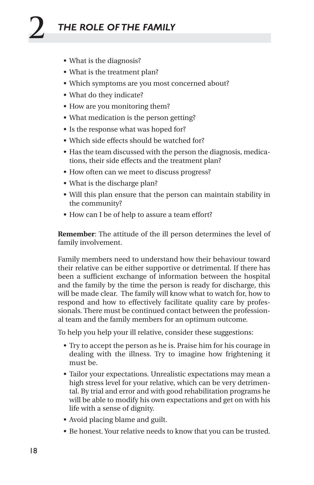- What is the diagnosis?
- What is the treatment plan?
- Which symptoms are you most concerned about?
- What do they indicate?
- How are you monitoring them?
- What medication is the person getting?
- Is the response what was hoped for?
- Which side effects should be watched for?
- Has the team discussed with the person the diagnosis, medications, their side effects and the treatment plan?
- How often can we meet to discuss progress?
- What is the discharge plan?
- Will this plan ensure that the person can maintain stability in the community?
- How can I be of help to assure a team effort?

**Remember**: The attitude of the ill person determines the level of family involvement.

Family members need to understand how their behaviour toward their relative can be either supportive or detrimental. If there has been a sufficient exchange of information between the hospital and the family by the time the person is ready for discharge, this will be made clear. The family will know what to watch for, how to respond and how to effectively facilitate quality care by professionals. There must be continued contact between the professional team and the family members for an optimum outcome.

To help you help your ill relative, consider these suggestions:

- Try to accept the person as he is. Praise him for his courage in dealing with the illness. Try to imagine how frightening it must be.
- Tailor your expectations. Unrealistic expectations may mean a high stress level for your relative, which can be very detrimental. By trial and error and with good rehabilitation programs he will be able to modify his own expectations and get on with his life with a sense of dignity.
- Avoid placing blame and guilt.
- Be honest. Your relative needs to know that you can be trusted.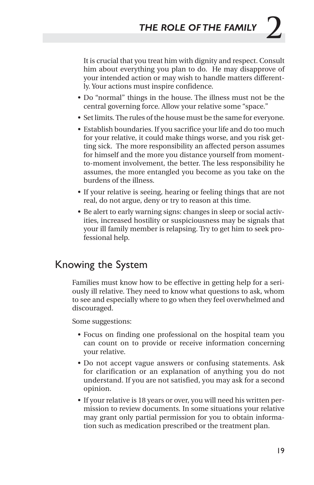It is crucial that you treat him with dignity and respect. Consult him about everything you plan to do. He may disapprove of your intended action or may wish to handle matters differently. Your actions must inspire confidence.

- Do "normal" things in the house. The illness must not be the central governing force. Allow your relative some "space."
- Set limits. The rules of the house must be the same for everyone.
- Establish boundaries. If you sacrifice your life and do too much for your relative, it could make things worse, and you risk getting sick. The more responsibility an affected person assumes for himself and the more you distance yourself from momentto-moment involvement, the better. The less responsibility he assumes, the more entangled you become as you take on the burdens of the illness.
- If your relative is seeing, hearing or feeling things that are not real, do not argue, deny or try to reason at this time.
- Be alert to early warning signs: changes in sleep or social activities, increased hostility or suspiciousness may be signals that your ill family member is relapsing. Try to get him to seek professional help.

#### Knowing the System

Families must know how to be effective in getting help for a seriously ill relative. They need to know what questions to ask, whom to see and especially where to go when they feel overwhelmed and discouraged.

Some suggestions:

- Focus on finding one professional on the hospital team you can count on to provide or receive information concerning your relative.
- Do not accept vague answers or confusing statements. Ask for clarification or an explanation of anything you do not understand. If you are not satisfied, you may ask for a second opinion.
- If your relative is 18 years or over, you will need his written permission to review documents. In some situations your relative may grant only partial permission for you to obtain information such as medication prescribed or the treatment plan.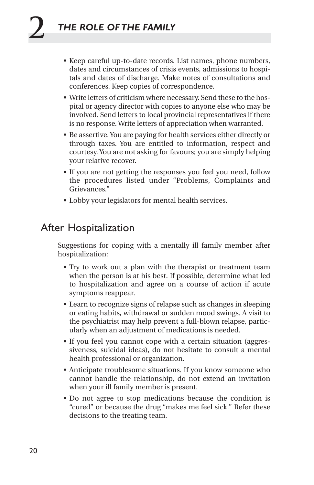- Keep careful up-to-date records. List names, phone numbers, dates and circumstances of crisis events, admissions to hospitals and dates of discharge. Make notes of consultations and conferences. Keep copies of correspondence.
- Write letters of criticism where necessary. Send these to the hospital or agency director with copies to anyone else who may be involved. Send letters to local provincial representatives if there is no response. Write letters of appreciation when warranted.
- Be assertive. You are paying for health services either directly or through taxes. You are entitled to information, respect and courtesy. You are not asking for favours; you are simply helping your relative recover.
- If you are not getting the responses you feel you need, follow the procedures listed under "Problems, Complaints and Grievances."
- Lobby your legislators for mental health services.

#### After Hospitalization

Suggestions for coping with a mentally ill family member after hospitalization:

- Try to work out a plan with the therapist or treatment team when the person is at his best. If possible, determine what led to hospitalization and agree on a course of action if acute symptoms reappear.
- Learn to recognize signs of relapse such as changes in sleeping or eating habits, withdrawal or sudden mood swings. A visit to the psychiatrist may help prevent a full-blown relapse, particularly when an adjustment of medications is needed.
- If you feel you cannot cope with a certain situation (aggressiveness, suicidal ideas), do not hesitate to consult a mental health professional or organization.
- Anticipate troublesome situations. If you know someone who cannot handle the relationship, do not extend an invitation when your ill family member is present.
- Do not agree to stop medications because the condition is "cured" or because the drug "makes me feel sick." Refer these decisions to the treating team.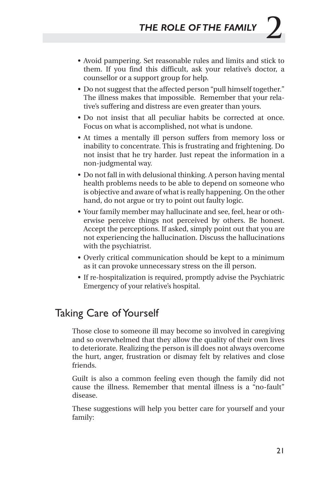- Avoid pampering. Set reasonable rules and limits and stick to them. If you find this difficult, ask your relative's doctor, a counsellor or a support group for help.
- Do not suggest that the affected person "pull himself together." The illness makes that impossible. Remember that your relative's suffering and distress are even greater than yours.
- Do not insist that all peculiar habits be corrected at once. Focus on what is accomplished, not what is undone.
- At times a mentally ill person suffers from memory loss or inability to concentrate. This is frustrating and frightening. Do not insist that he try harder. Just repeat the information in a non-judgmental way.
- Do not fall in with delusional thinking. A person having mental health problems needs to be able to depend on someone who is objective and aware of what is really happening. On the other hand, do not argue or try to point out faulty logic.
- Your family member may hallucinate and see, feel, hear or otherwise perceive things not perceived by others. Be honest. Accept the perceptions. If asked, simply point out that you are not experiencing the hallucination. Discuss the hallucinations with the psychiatrist.
- Overly critical communication should be kept to a minimum as it can provoke unnecessary stress on the ill person.
- If re-hospitalization is required, promptly advise the Psychiatric Emergency of your relative's hospital.

#### Taking Care of Yourself

Those close to someone ill may become so involved in caregiving and so overwhelmed that they allow the quality of their own lives to deteriorate. Realizing the person is ill does not always overcome the hurt, anger, frustration or dismay felt by relatives and close friends.

Guilt is also a common feeling even though the family did not cause the illness. Remember that mental illness is a "no-fault" disease.

These suggestions will help you better care for yourself and your family: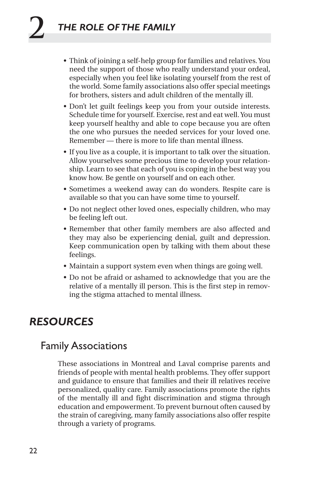- Think of joining a self-help group for families and relatives. You need the support of those who really understand your ordeal, especially when you feel like isolating yourself from the rest of the world. Some family associations also offer special meetings for brothers, sisters and adult children of the mentally ill.
- Don't let guilt feelings keep you from your outside interests. Schedule time for yourself. Exercise, rest and eat well. You must keep yourself healthy and able to cope because you are often the one who pursues the needed services for your loved one. Remember — there is more to life than mental illness.
- If you live as a couple, it is important to talk over the situation. Allow yourselves some precious time to develop your relationship. Learn to see that each of you is coping in the best way you know how. Be gentle on yourself and on each other.
- Sometimes a weekend away can do wonders. Respite care is available so that you can have some time to yourself.
- Do not neglect other loved ones, especially children, who may be feeling left out.
- Remember that other family members are also affected and they may also be experiencing denial, guilt and depression. Keep communication open by talking with them about these feelings.
- Maintain a support system even when things are going well.
- Do not be afraid or ashamed to acknowledge that you are the relative of a mentally ill person. This is the first step in removing the stigma attached to mental illness.

#### *RESOURCES*

#### Family Associations

These associations in Montreal and Laval comprise parents and friends of people with mental health problems. They offer support and guidance to ensure that families and their ill relatives receive personalized, quality care. Family associations promote the rights of the mentally ill and fight discrimination and stigma through education and empowerment. To prevent burnout often caused by the strain of caregiving, many family associations also offer respite through a variety of programs.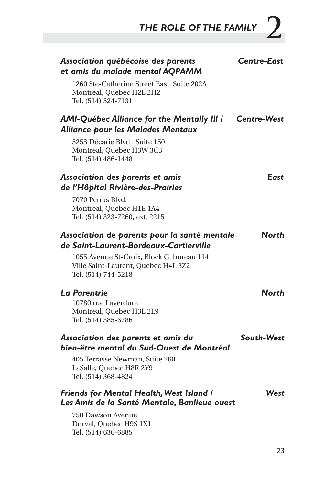THE ROLE OF THE FAMILY  $2$ 

| Association québécoise des parents<br>et amis du malade mental AQPAMM<br>1260 Ste-Catherine Street East, Suite 202A<br>Montreal, Quebec H2L 2H2<br>Tel. (514) 524-7131                            | Centre-East        |
|---------------------------------------------------------------------------------------------------------------------------------------------------------------------------------------------------|--------------------|
| <b>AMI-Québec Alliance for the Mentally III /</b><br>Alliance pour les Malades Mentaux<br>5253 Décarie Blvd., Suite 150<br>Montreal, Quebec H3W 3C3<br>Tel. (514) 486-1448                        | <b>Centre-West</b> |
| Association des parents et amis<br>de l'Hôpital Rivière-des-Prairies<br>7070 Perras Blvd.<br>Montreal, Quebec H1E 1A4<br>Tel. (514) 323-7260, ext. 2215                                           | East               |
| Association de parents pour la santé mentale<br>de Saint-Laurent-Bordeaux-Cartierville<br>1055 Avenue St-Croix, Block G, bureau 114<br>Ville Saint-Laurent, Quebec H4L 3Z2<br>Tel. (514) 744-5218 | North              |
| La Parentrie<br>10780 rue Laverdure<br>Montreal, Quebec H3L 2L9<br>Tel. (514) 385-6786                                                                                                            | North              |
| Association des parents et amis du<br>bien-être mental du Sud-Ouest de Montréal<br>405 Terrasse Newman, Suite 260<br>LaSalle, Quebec H8R 2Y9<br>Tel. (514) 368-4824                               | South-West         |
| Friends for Mental Health, West Island /<br>Les Amis de la Santé Mentale, Banlieue ouest<br>750 Dawson Avenue<br>Dorval, Quebec H9S 1X1<br>Tel. (514) 636-6885                                    | West               |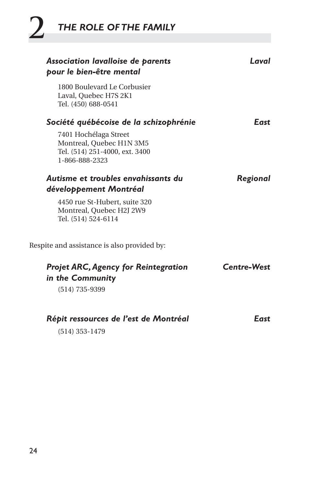# **2** *THE ROLE OF THE FAMILY*

| Association lavalloise de parents<br>pour le bien-être mental                                         | Laval              |
|-------------------------------------------------------------------------------------------------------|--------------------|
| 1800 Boulevard Le Corbusier<br>Laval, Quebec H7S 2K1<br>Tel. (450) 688-0541                           |                    |
| Société québécoise de la schizophrénie                                                                | East               |
| 7401 Hochélaga Street<br>Montreal, Quebec H1N 3M5<br>Tel. (514) 251-4000, ext. 3400<br>1-866-888-2323 |                    |
| Autisme et troubles envahissants du                                                                   | Regional           |
| développement Montréal                                                                                |                    |
| 4450 rue St-Hubert, suite 320<br>Montreal, Ouebec H2J 2W9<br>Tel. (514) 524-6114                      |                    |
| Respite and assistance is also provided by:                                                           |                    |
| <b>Projet ARC, Agency for Reintegration</b><br>in the Community                                       | <b>Centre-West</b> |
| $(514)$ 735-9399                                                                                      |                    |
| Répit ressources de l'est de Montréal                                                                 | East               |
| $(514)$ 353-1479                                                                                      |                    |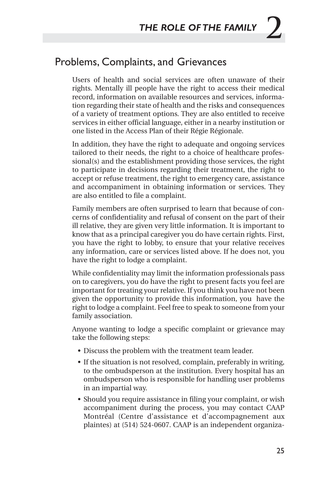#### Problems, Complaints, and Grievances

Users of health and social services are often unaware of their rights. Mentally ill people have the right to access their medical record, information on available resources and services, information regarding their state of health and the risks and consequences of a variety of treatment options. They are also entitled to receive services in either official language, either in a nearby institution or one listed in the Access Plan of their Régie Régionale.

In addition, they have the right to adequate and ongoing services tailored to their needs, the right to a choice of healthcare professional(s) and the establishment providing those services, the right to participate in decisions regarding their treatment, the right to accept or refuse treatment, the right to emergency care, assistance and accompaniment in obtaining information or services. They are also entitled to file a complaint.

Family members are often surprised to learn that because of concerns of confidentiality and refusal of consent on the part of their ill relative, they are given very little information. It is important to know that as a principal caregiver you do have certain rights. First, you have the right to lobby, to ensure that your relative receives any information, care or services listed above. If he does not, you have the right to lodge a complaint.

While confidentiality may limit the information professionals pass on to caregivers, you do have the right to present facts you feel are important for treating your relative. If you think you have not been given the opportunity to provide this information, you have the right to lodge a complaint. Feel free to speak to someone from your family association.

Anyone wanting to lodge a specific complaint or grievance may take the following steps:

- Discuss the problem with the treatment team leader.
- If the situation is not resolved, complain, preferably in writing, to the ombudsperson at the institution. Every hospital has an ombudsperson who is responsible for handling user problems in an impartial way.
- Should you require assistance in filing your complaint, or wish accompaniment during the process, you may contact CAAP Montréal (Centre d'assistance et d'accompagnement aux plaintes) at (514) 524-0607. CAAP is an independent organiza-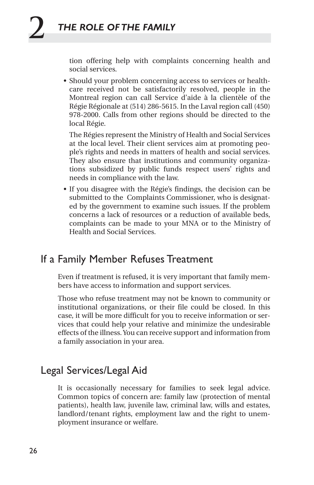tion offering help with complaints concerning health and social services.

• Should your problem concerning access to services or healthcare received not be satisfactorily resolved, people in the Montreal region can call Service d'aide à la clientèle of the Régie Régionale at (514) 286-5615. In the Laval region call (450) 978-2000. Calls from other regions should be directed to the local Régie.

The Régies represent the Ministry of Health and Social Services at the local level. Their client services aim at promoting people's rights and needs in matters of health and social services. They also ensure that institutions and community organizations subsidized by public funds respect users' rights and needs in compliance with the law.

• If you disagree with the Régie's findings, the decision can be submitted to the Complaints Commissioner, who is designated by the government to examine such issues. If the problem concerns a lack of resources or a reduction of available beds, complaints can be made to your MNA or to the Ministry of Health and Social Services.

#### If a Family Member Refuses Treatment

Even if treatment is refused, it is very important that family members have access to information and support services.

Those who refuse treatment may not be known to community or institutional organizations, or their file could be closed. In this case, it will be more difficult for you to receive information or services that could help your relative and minimize the undesirable effects of the illness. You can receive support and information from a family association in your area.

#### Legal Services/Legal Aid

It is occasionally necessary for families to seek legal advice. Common topics of concern are: family law (protection of mental patients), health law, juvenile law, criminal law, wills and estates, landlord/tenant rights, employment law and the right to unemployment insurance or welfare.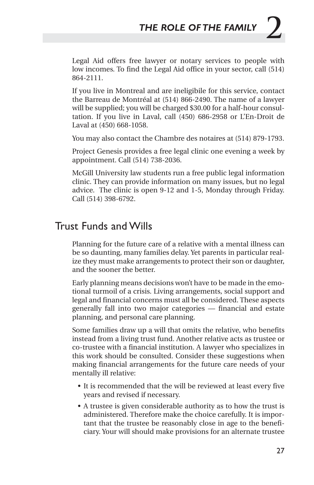Legal Aid offers free lawyer or notary services to people with low incomes. To find the Legal Aid office in your sector, call (514) 864-2111.

If you live in Montreal and are ineligibile for this service, contact the Barreau de Montréal at (514) 866-2490. The name of a lawyer will be supplied; you will be charged \$30.00 for a half-hour consultation. If you live in Laval, call (450) 686-2958 or L'En-Droit de Laval at (450) 668-1058.

You may also contact the Chambre des notaires at (514) 879-1793.

Project Genesis provides a free legal clinic one evening a week by appointment. Call (514) 738-2036.

McGill University law students run a free public legal information clinic. They can provide information on many issues, but no legal advice. The clinic is open 9-12 and 1-5, Monday through Friday. Call (514) 398-6792.

## Trust Funds and Wills

Planning for the future care of a relative with a mental illness can be so daunting, many families delay. Yet parents in particular realize they must make arrangements to protect their son or daughter, and the sooner the better.

Early planning means decisions won't have to be made in the emotional turmoil of a crisis. Living arrangements, social support and legal and financial concerns must all be considered. These aspects generally fall into two major categories — financial and estate planning, and personal care planning.

Some families draw up a will that omits the relative, who benefits instead from a living trust fund. Another relative acts as trustee or co-trustee with a financial institution. A lawyer who specializes in this work should be consulted. Consider these suggestions when making financial arrangements for the future care needs of your mentally ill relative:

- It is recommended that the will be reviewed at least every five years and revised if necessary.
- A trustee is given considerable authority as to how the trust is administered. Therefore make the choice carefully. It is important that the trustee be reasonably close in age to the beneficiary. Your will should make provisions for an alternate trustee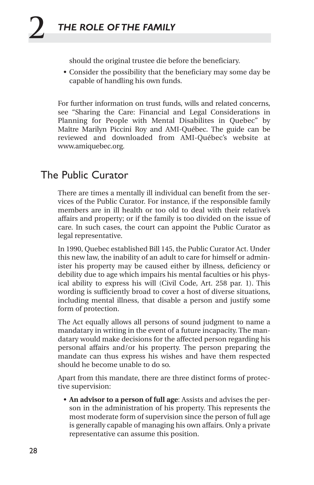should the original trustee die before the beneficiary.

• Consider the possibility that the beneficiary may some day be capable of handling his own funds.

For further information on trust funds, wills and related concerns, see "Sharing the Care: Financial and Legal Considerations in Planning for People with Mental Disabilites in Quebec" by Maître Marilyn Piccini Roy and AMI-Québec. The guide can be reviewed and downloaded from AMI-Québec's website at www.amiquebec.org.

## The Public Curator

There are times a mentally ill individual can benefit from the services of the Public Curator. For instance, if the responsible family members are in ill health or too old to deal with their relative's affairs and property; or if the family is too divided on the issue of care. In such cases, the court can appoint the Public Curator as legal representative.

In 1990, Quebec established Bill 145, the Public Curator Act. Under this new law, the inability of an adult to care for himself or administer his property may be caused either by illness, deficiency or debility due to age which impairs his mental faculties or his physical ability to express his will (Civil Code, Art. 258 par. 1). This wording is sufficiently broad to cover a host of diverse situations, including mental illness, that disable a person and justify some form of protection.

The Act equally allows all persons of sound judgment to name a mandatary in writing in the event of a future incapacity. The mandatary would make decisions for the affected person regarding his personal affairs and/or his property. The person preparing the mandate can thus express his wishes and have them respected should he become unable to do so.

Apart from this mandate, there are three distinct forms of protective supervision:

• **An advisor to a person of full age**: Assists and advises the person in the administration of his property. This represents the most moderate form of supervision since the person of full age is generally capable of managing his own affairs. Only a private representative can assume this position.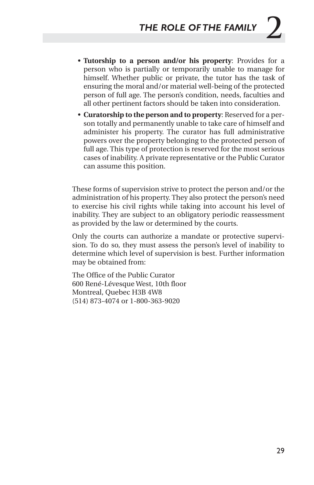- **Tutorship to a person and/or his property**: Provides for a person who is partially or temporarily unable to manage for himself. Whether public or private, the tutor has the task of ensuring the moral and/or material well-being of the protected person of full age. The person's condition, needs, faculties and all other pertinent factors should be taken into consideration.
- **Curatorship to the person and to property**: Reserved for a person totally and permanently unable to take care of himself and administer his property. The curator has full administrative powers over the property belonging to the protected person of full age. This type of protection is reserved for the most serious cases of inability. A private representative or the Public Curator can assume this position.

These forms of supervision strive to protect the person and/or the administration of his property. They also protect the person's need to exercise his civil rights while taking into account his level of inability. They are subject to an obligatory periodic reassessment as provided by the law or determined by the courts.

Only the courts can authorize a mandate or protective supervision. To do so, they must assess the person's level of inability to determine which level of supervision is best. Further information may be obtained from:

The Office of the Public Curator 600 René-Lévesque West, 10th floor Montreal, Quebec H3B 4W8 (514) 873-4074 or 1-800-363-9020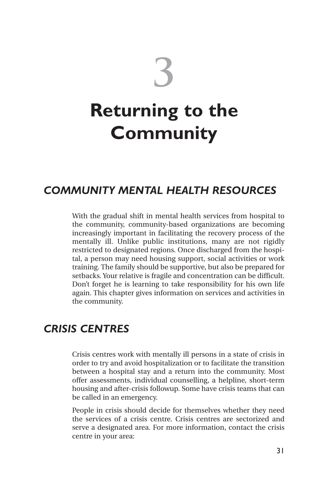

## *COMMUNITY MENTAL HEALTH RESOURCES*

With the gradual shift in mental health services from hospital to the community, community-based organizations are becoming increasingly important in facilitating the recovery process of the mentally ill. Unlike public institutions, many are not rigidly restricted to designated regions. Once discharged from the hospital, a person may need housing support, social activities or work training. The family should be supportive, but also be prepared for setbacks. Your relative is fragile and concentration can be difficult. Don't forget he is learning to take responsibility for his own life again. This chapter gives information on services and activities in the community.

## *CRISIS CENTRES*

Crisis centres work with mentally ill persons in a state of crisis in order to try and avoid hospitalization or to facilitate the transition between a hospital stay and a return into the community. Most offer assessments, individual counselling, a helpline, short-term housing and after-crisis followup. Some have crisis teams that can be called in an emergency.

People in crisis should decide for themselves whether they need the services of a crisis centre. Crisis centres are sectorized and serve a designated area. For more information, contact the crisis centre in your area: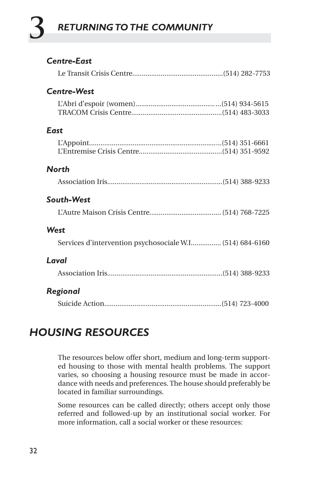# **3** *RETURNING TO THE COMMUNITY*

## *Centre-East*

|--|--|--|--|

## *Centre-West*

#### *East*

#### *North*

Association Iris.............................................................(514) 388-9233

#### *South-West*

L'Autre Maison Crisis Centre...................................... (514) 768-7225

#### *West*

Services d'intervention psychosociale W.I................ (514) 684-6160

#### *Laval*

Association Iris.............................................................(514) 388-9233

## *Regional*

Suicide Action..............................................................(514) 723-4000

## *HOUSING RESOURCES*

The resources below offer short, medium and long-term supported housing to those with mental health problems. The support varies, so choosing a housing resource must be made in accordance with needs and preferences. The house should preferably be located in familiar surroundings.

Some resources can be called directly; others accept only those referred and followed-up by an institutional social worker. For more information, call a social worker or these resources: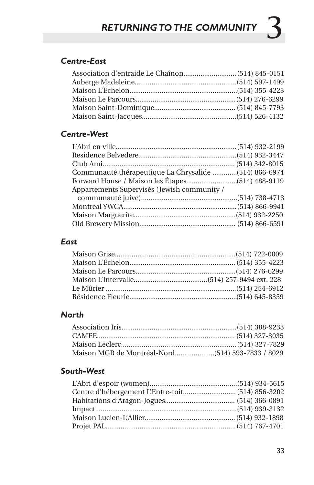## *Centre-East*

## *Centre-West*

| Communauté thérapeutique La Chrysalide (514) 866-6974 |  |
|-------------------------------------------------------|--|
|                                                       |  |
| Appartements Supervisés (Jewish community /           |  |
|                                                       |  |
|                                                       |  |
|                                                       |  |
|                                                       |  |

## *East*

## *North*

## *South-West*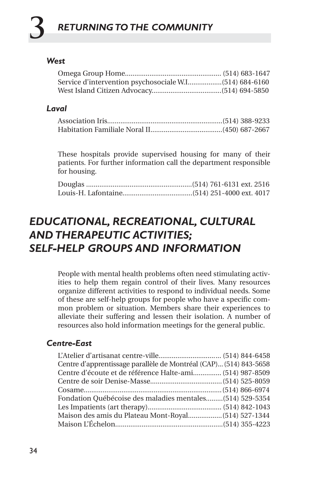# **3** *RETURNING TO THE COMMUNITY*

## *West*

### *Laval*

These hospitals provide supervised housing for many of their patients. For further information call the department responsible for housing.

## *EDUCATIONAL, RECREATIONAL, CULTURAL AND THERAPEUTIC ACTIVITIES; SELF-HELP GROUPS AND INFORMATION*

People with mental health problems often need stimulating activities to help them regain control of their lives. Many resources organize different activities to respond to individual needs. Some of these are self-help groups for people who have a specific common problem or situation. Members share their experiences to alleviate their suffering and lessen their isolation. A number of resources also hold information meetings for the general public.

## *Centre-East*

|  | Centre d'apprentissage parallèle de Montréal (CAP) (514) 843-5658<br>Centre d'écoute et de référence Halte-ami (514) 987-8509<br>Fondation Québécoise des maladies mentales (514) 529-5354 |
|--|--------------------------------------------------------------------------------------------------------------------------------------------------------------------------------------------|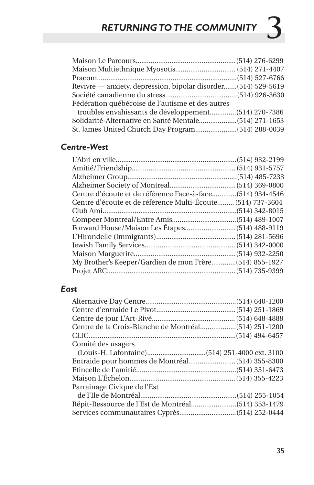| Revivre — anxiety, depression, bipolar disorder(514) 529-5619 |  |  |
|---------------------------------------------------------------|--|--|
|                                                               |  |  |
| Fédération québécoise de l'autisme et des autres              |  |  |
|                                                               |  |  |
|                                                               |  |  |
|                                                               |  |  |

## *Centre-West*

| Centre d'écoute et de référence Multi-Écoute (514) 737-3604 |  |
|-------------------------------------------------------------|--|
|                                                             |  |
|                                                             |  |
|                                                             |  |
|                                                             |  |
|                                                             |  |
|                                                             |  |
| My Brother's Keeper/Gardien de mon Frère (514) 855-1927     |  |
|                                                             |  |
|                                                             |  |

## *East*

| Comité des usagers          |  |
|-----------------------------|--|
|                             |  |
|                             |  |
|                             |  |
|                             |  |
| Parrainage Civique de l'Est |  |
|                             |  |
|                             |  |
|                             |  |
|                             |  |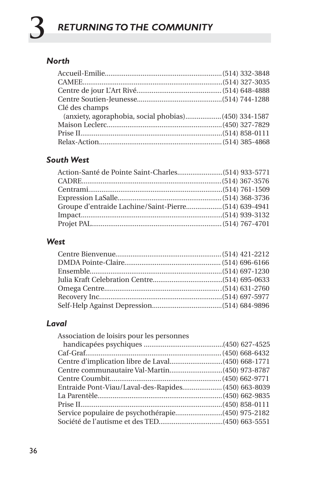## *North*

|  | (anxiety, agoraphobia, social phobias)(450) 334-1587 |
|--|------------------------------------------------------|

## *South West*

## *West*

## *Laval*

| Entraide Pont-Viau/Laval-des-Rapides (450) 663-8039 |
|-----------------------------------------------------|
|                                                     |
|                                                     |
|                                                     |
|                                                     |
|                                                     |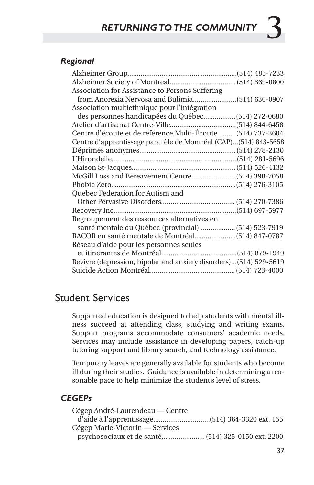## *Regional*

| Association for Assistance to Persons Suffering                   |  |
|-------------------------------------------------------------------|--|
|                                                                   |  |
| Association multiethnique pour l'intégration                      |  |
| des personnes handicapées du Québec (514) 272-0680                |  |
|                                                                   |  |
| Centre d'écoute et de référence Multi-Écoute (514) 737-3604       |  |
| Centre d'apprentissage parallèle de Montréal (CAP)(514) 843-5658  |  |
|                                                                   |  |
|                                                                   |  |
|                                                                   |  |
|                                                                   |  |
|                                                                   |  |
| Quebec Federation for Autism and                                  |  |
|                                                                   |  |
|                                                                   |  |
| Regroupement des ressources alternatives en                       |  |
| santé mentale du Québec (provincial) (514) 523-7919               |  |
|                                                                   |  |
| Réseau d'aide pour les personnes seules                           |  |
|                                                                   |  |
| Revivre (depression, bipolar and anxiety disorders)(514) 529-5619 |  |
|                                                                   |  |
|                                                                   |  |

## Student Services

Supported education is designed to help students with mental illness succeed at attending class, studying and writing exams. Support programs accommodate consumers' academic needs. Services may include assistance in developing papers, catch-up tutoring support and library search, and technology assistance.

Temporary leaves are generally available for students who become ill during their studies. Guidance is available in determining a reasonable pace to help minimize the student's level of stress.

#### *CEGEPs*

| Cégep André-Laurendeau — Centre |  |
|---------------------------------|--|
|                                 |  |
| Cégep Marie-Victorin — Services |  |
|                                 |  |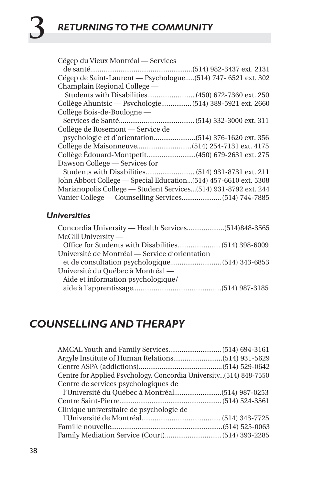| Cégep du Vieux Montréal — Services                              |
|-----------------------------------------------------------------|
|                                                                 |
| Cégep de Saint-Laurent — Psychologue (514) 747- 6521 ext. 302   |
| Champlain Regional College —                                    |
| Students with Disabilities (450) 672-7360 ext. 250              |
| Collège Ahuntsic — Psychologie (514) 389-5921 ext. 2660         |
| Collège Bois-de-Boulogne —                                      |
|                                                                 |
| Collège de Rosemont — Service de                                |
|                                                                 |
|                                                                 |
|                                                                 |
| Dawson College — Services for                                   |
|                                                                 |
| John Abbott College - Special Education(514) 457-6610 ext. 5308 |
| Marianopolis College - Student Services (514) 931-8792 ext. 244 |
| Vanier College - Counselling Services (514) 744-7885            |

## *Universities*

| McGill University —                            |  |
|------------------------------------------------|--|
|                                                |  |
| Université de Montréal — Service d'orientation |  |
|                                                |  |
| Université du Québec à Montréal —              |  |
| Aide et information psychologique/             |  |
|                                                |  |
|                                                |  |

## *COUNSELLING AND THERAPY*

| Centre for Applied Psychology, Concordia University(514) 848-7550 |  |
|-------------------------------------------------------------------|--|
| Centre de services psychologiques de                              |  |
|                                                                   |  |
|                                                                   |  |
| Clinique universitaire de psychologie de                          |  |
|                                                                   |  |
|                                                                   |  |
|                                                                   |  |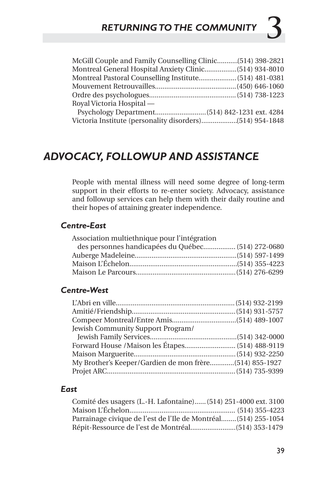| McGill Couple and Family Counselling Clinic(514) 398-2821 |  |
|-----------------------------------------------------------|--|
|                                                           |  |
|                                                           |  |
|                                                           |  |
|                                                           |  |
| Royal Victoria Hospital —                                 |  |
|                                                           |  |
|                                                           |  |

## *ADVOCACY, FOLLOWUP AND ASSISTANCE*

People with mental illness will need some degree of long-term support in their efforts to re-enter society. Advocacy, assistance and followup services can help them with their daily routine and their hopes of attaining greater independence.

#### *Centre-East*

| Association multiethnique pour l'intégration       |  |
|----------------------------------------------------|--|
| des personnes handicapées du Québec (514) 272-0680 |  |
|                                                    |  |
|                                                    |  |
|                                                    |  |

#### *Centre-West*

| Jewish Community Support Program/                       |  |
|---------------------------------------------------------|--|
|                                                         |  |
|                                                         |  |
|                                                         |  |
| My Brother's Keeper/Gardien de mon frère (514) 855-1927 |  |
|                                                         |  |

#### *East*

| Comité des usagers (L.-H. Lafontaine) (514) 251-4000 ext. 3100  |  |
|-----------------------------------------------------------------|--|
|                                                                 |  |
| Parrainage civique de l'est de l'Ile de Montréal (514) 255-1054 |  |
|                                                                 |  |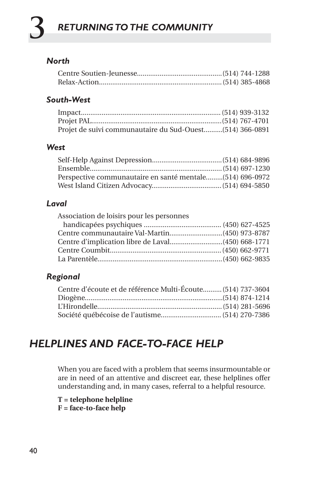# **3** *RETURNING TO THE COMMUNITY*

## *North*

## *South-West*

| Projet de suivi communautaire du Sud-Ouest(514) 366-0891 |  |
|----------------------------------------------------------|--|

## *West*

| Perspective communautaire en santé mentale(514) 696-0972 |  |
|----------------------------------------------------------|--|
|                                                          |  |

## *Laval*

## *Regional*

| Centre d'écoute et de référence Multi-Écoute (514) 737-3604 |  |
|-------------------------------------------------------------|--|
|                                                             |  |
|                                                             |  |
|                                                             |  |

## *HELPLINES AND FACE-TO-FACE HELP*

When you are faced with a problem that seems insurmountable or are in need of an attentive and discreet ear, these helplines offer understanding and, in many cases, referral to a helpful resource.

**T = telephone helpline F = face-to-face help**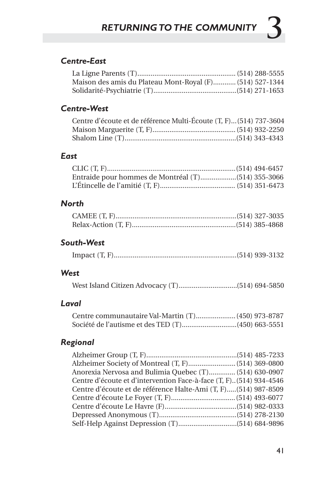## *Centre-East*

| Maison des amis du Plateau Mont-Royal (F) (514) 527-1344 |  |
|----------------------------------------------------------|--|
|                                                          |  |

## *Centre-West*

| Centre d'écoute et de référence Multi-Écoute (T, F) (514) 737-3604 |  |
|--------------------------------------------------------------------|--|
|                                                                    |  |
|                                                                    |  |

#### *East*

## *North*

## *South-West*

|--|

## *West*

## *Laval*

| Centre communautaire Val-Martin (T) (450) 973-8787 |  |  |
|----------------------------------------------------|--|--|
| Société de l'autisme et des TED (T)(450) 663-5551  |  |  |

## *Regional*

| Anorexia Nervosa and Bulimia Quebec (T) (514) 630-0907               |  |  |
|----------------------------------------------------------------------|--|--|
| Centre d'écoute et d'intervention Face-à-face (T, F). (514) 934-4546 |  |  |
| Centre d'écoute et de référence Halte-Ami (T, F)(514) 987-8509       |  |  |
|                                                                      |  |  |
|                                                                      |  |  |
|                                                                      |  |  |
|                                                                      |  |  |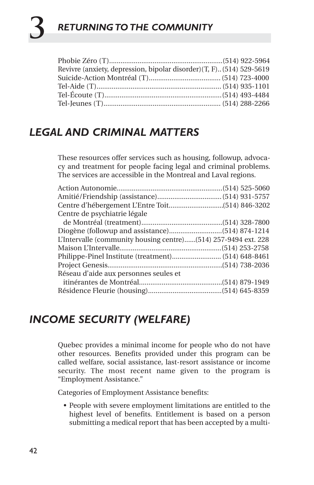# **3** *RETURNING TO THE COMMUNITY*

| Revivre (anxiety, depression, bipolar disorder) (T, F). (514) 529-5619 |  |
|------------------------------------------------------------------------|--|
|                                                                        |  |
|                                                                        |  |
|                                                                        |  |
|                                                                        |  |

## *LEGAL AND CRIMINAL MATTERS*

These resources offer services such as housing, followup, advocacy and treatment for people facing legal and criminal problems. The services are accessible in the Montreal and Laval regions.

| Centre de psychiatrie légale                                   |  |
|----------------------------------------------------------------|--|
|                                                                |  |
|                                                                |  |
| L'Intervalle (community housing centre)(514) 257-9494 ext. 228 |  |
|                                                                |  |
|                                                                |  |
|                                                                |  |
| Réseau d'aide aux personnes seules et                          |  |
|                                                                |  |
|                                                                |  |

## *INCOME SECURITY (WELFARE)*

Quebec provides a minimal income for people who do not have other resources. Benefits provided under this program can be called welfare, social assistance, last-resort assistance or income security. The most recent name given to the program is "Employment Assistance."

Categories of Employment Assistance benefits:

• People with severe employment limitations are entitled to the highest level of benefits. Entitlement is based on a person submitting a medical report that has been accepted by a multi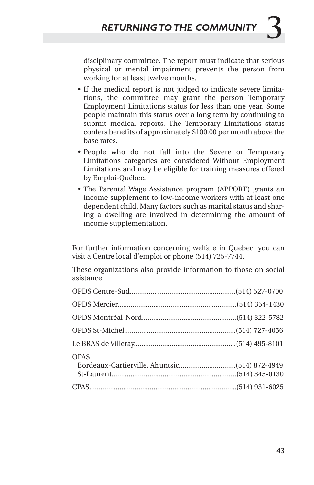disciplinary committee. The report must indicate that serious physical or mental impairment prevents the person from working for at least twelve months.

- If the medical report is not judged to indicate severe limitations, the committee may grant the person Temporary Employment Limitations status for less than one year. Some people maintain this status over a long term by continuing to submit medical reports. The Temporary Limitations status confers benefits of approximately \$100.00 per month above the base rates.
- People who do not fall into the Severe or Temporary Limitations categories are considered Without Employment Limitations and may be eligible for training measures offered by Emploi-Québec.
- The Parental Wage Assistance program (APPORT) grants an income supplement to low-income workers with at least one dependent child. Many factors such as marital status and sharing a dwelling are involved in determining the amount of income supplementation.

For further information concerning welfare in Quebec, you can visit a Centre local d'emploi or phone (514) 725-7744.

These organizations also provide information to those on social asistance:

| <b>OPAS</b> |  |
|-------------|--|
|             |  |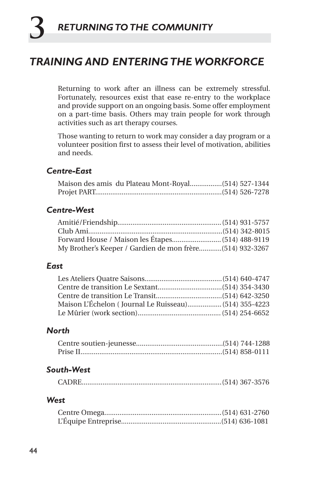## *TRAINING AND ENTERING THE WORKFORCE*

Returning to work after an illness can be extremely stressful. Fortunately, resources exist that ease re-entry to the workplace and provide support on an ongoing basis. Some offer employment on a part-time basis. Others may train people for work through activities such as art therapy courses.

Those wanting to return to work may consider a day program or a volunteer position first to assess their level of motivation, abilities and needs.

## *Centre-East*

| Maison des amis du Plateau Mont-Royal (514) 527-1344 |  |  |
|------------------------------------------------------|--|--|
|                                                      |  |  |

#### *Centre-West*

| My Brother's Keeper / Gardien de mon frère(514) 932-3267 |  |  |
|----------------------------------------------------------|--|--|

#### *East*

| Maison L'Échelon (Journal Le Ruisseau) (514) 355-4223 |  |
|-------------------------------------------------------|--|
|                                                       |  |

#### *North*

#### *South-West*

#### *West*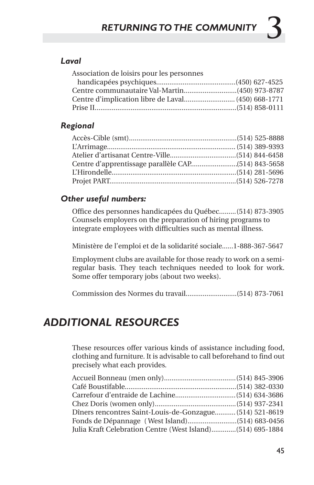## *Laval*

| Association de loisirs pour les personnes |  |
|-------------------------------------------|--|
|                                           |  |
|                                           |  |
|                                           |  |
|                                           |  |
|                                           |  |

## *Regional*

## *Other useful numbers:*

Office des personnes handicapées du Québec.........(514) 873-3905 Counsels employers on the preparation of hiring programs to integrate employees with difficulties such as mental illness.

Ministère de l'emploi et de la solidarité sociale......1-888-367-5647

Employment clubs are available for those ready to work on a semiregular basis. They teach techniques needed to look for work. Some offer temporary jobs (about two weeks).

Commission des Normes du travail...........................(514) 873-7061

## *ADDITIONAL RESOURCES*

These resources offer various kinds of assistance including food, clothing and furniture. It is advisable to call beforehand to find out precisely what each provides.

| Dîners rencontres Saint-Louis-de-Gonzague (514) 521-8619   |  |  |
|------------------------------------------------------------|--|--|
|                                                            |  |  |
| Julia Kraft Celebration Centre (West Island)(514) 695-1884 |  |  |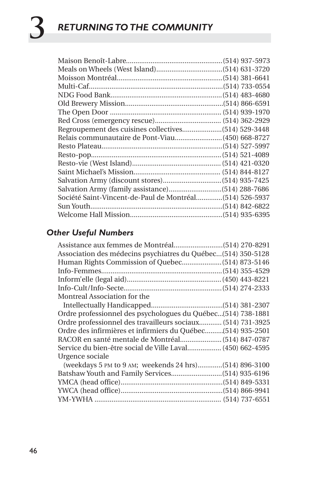| Société Saint-Vincent-de-Paul de Montréal(514) 526-5937 |  |
|---------------------------------------------------------|--|
|                                                         |  |
|                                                         |  |

## *Other Useful Numbers*

| Association des médecins psychiatres du Québec (514) 350-5128 |
|---------------------------------------------------------------|
|                                                               |
|                                                               |
|                                                               |
|                                                               |
| Montreal Association for the                                  |
|                                                               |
| Ordre professionnel des psychologues du Québec (514) 738-1881 |
| Ordre professionnel des travailleurs sociaux (514) 731-3925   |
|                                                               |
|                                                               |
| Service du bien-être social de Ville Laval (450) 662-4595     |
| Urgence sociale                                               |
| (weekdays 5 PM to 9 AM; weekends 24 hrs) (514) 896-3100       |
|                                                               |
|                                                               |
|                                                               |
|                                                               |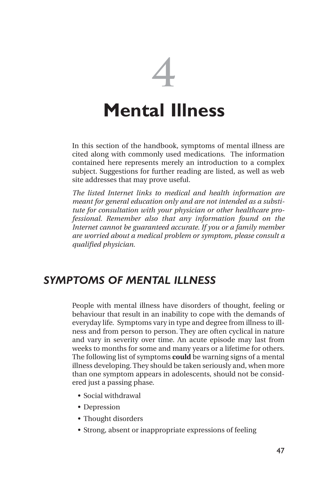# **4 Mental Illness**

In this section of the handbook, symptoms of mental illness are cited along with commonly used medications. The information contained here represents merely an introduction to a complex subject. Suggestions for further reading are listed, as well as web site addresses that may prove useful.

*The listed Internet links to medical and health information are meant for general education only and are not intended as a substitute for consultation with your physician or other healthcare professional. Remember also that any information found on the Internet cannot be guaranteed accurate. If you or a family member are worried about a medical problem or symptom, please consult a qualified physician.*

## *SYMPTOMS OF MENTAL ILLNESS*

People with mental illness have disorders of thought, feeling or behaviour that result in an inability to cope with the demands of everyday life. Symptoms vary in type and degree from illness to illness and from person to person. They are often cyclical in nature and vary in severity over time. An acute episode may last from weeks to months for some and many years or a lifetime for others. The following list of symptoms **could** be warning signs of a mental illness developing. They should be taken seriously and, when more than one symptom appears in adolescents, should not be considered just a passing phase.

- Social withdrawal
- Depression
- Thought disorders
- Strong, absent or inappropriate expressions of feeling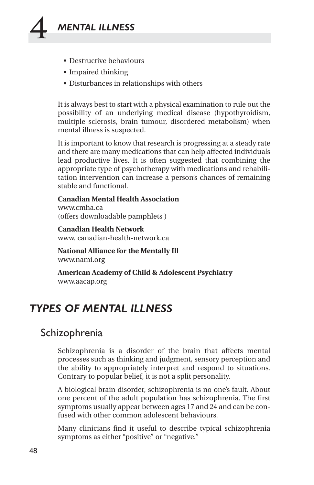

- Destructive behaviours
- Impaired thinking
- Disturbances in relationships with others

It is always best to start with a physical examination to rule out the possibility of an underlying medical disease (hypothyroidism, multiple sclerosis, brain tumour, disordered metabolism) when mental illness is suspected.

It is important to know that research is progressing at a steady rate and there are many medications that can help affected individuals lead productive lives. It is often suggested that combining the appropriate type of psychotherapy with medications and rehabilitation intervention can increase a person's chances of remaining stable and functional.

**Canadian Mental Health Association** www.cmha.ca (offers downloadable pamphlets )

**Canadian Health Network** www. canadian-health-network.ca

**National Alliance for the Mentally Ill**  www.nami.org

**American Academy of Child & Adolescent Psychiatry** www.aacap.org

## *TYPES OF MENTAL ILLNESS*

## Schizophrenia

Schizophrenia is a disorder of the brain that affects mental processes such as thinking and judgment, sensory perception and the ability to appropriately interpret and respond to situations. Contrary to popular belief, it is not a split personality.

A biological brain disorder, schizophrenia is no one's fault. About one percent of the adult population has schizophrenia. The first symptoms usually appear between ages 17 and 24 and can be confused with other common adolescent behaviours.

Many clinicians find it useful to describe typical schizophrenia symptoms as either "positive" or "negative."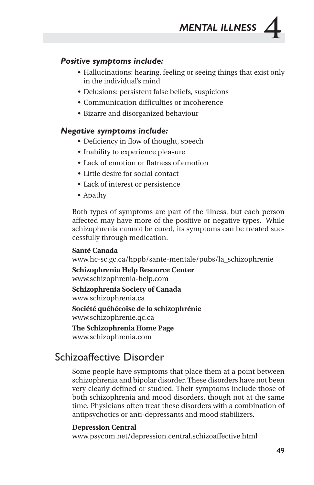

#### *Positive symptoms include:*

- Hallucinations: hearing, feeling or seeing things that exist only in the individual's mind
- Delusions: persistent false beliefs, suspicions
- Communication difficulties or incoherence
- Bizarre and disorganized behaviour

#### *Negative symptoms include:*

- Deficiency in flow of thought, speech
- Inability to experience pleasure
- Lack of emotion or flatness of emotion
- Little desire for social contact
- Lack of interest or persistence
- Apathy

Both types of symptoms are part of the illness, but each person affected may have more of the positive or negative types. While schizophrenia cannot be cured, its symptoms can be treated successfully through medication.

#### **Santé Canada**

www.hc-sc.gc.ca/hppb/sante-mentale/pubs/la\_schizophrenie

**Schizophrenia Help Resource Center** www.schizophrenia-help.com

**Schizophrenia Society of Canada**  www.schizophrenia.ca

**Société québécoise de la schizophrénie** www.schizophrenie.qc.ca

**The Schizophrenia Home Page** www.schizophrenia.com

## Schizoaffective Disorder

Some people have symptoms that place them at a point between schizophrenia and bipolar disorder. These disorders have not been very clearly defined or studied. Their symptoms include those of both schizophrenia and mood disorders, though not at the same time. Physicians often treat these disorders with a combination of antipsychotics or anti-depressants and mood stabilizers.

#### **Depression Central**

www.psycom.net/depression.central.schizoaffective.html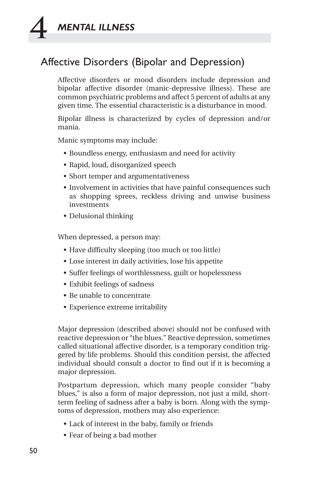

## Affective Disorders (Bipolar and Depression)

Affective disorders or mood disorders include depression and bipolar affective disorder (manic-depressive illness). These are common psychiatric problems and affect 5 percent of adults at any given time. The essential characteristic is a disturbance in mood.

Bipolar illness is characterized by cycles of depression and/or mania.

Manic symptoms may include:

- Boundless energy, enthusiasm and need for activity
- Rapid, loud, disorganized speech
- Short temper and argumentativeness
- Involvement in activities that have painful consequences such as shopping sprees, reckless driving and unwise business investments
- Delusional thinking

When depressed, a person may:

- Have difficulty sleeping (too much or too little)
- Lose interest in daily activities, lose his appetite
- Suffer feelings of worthlessness, guilt or hopelessness
- Exhibit feelings of sadness
- Be unable to concentrate
- Experience extreme irritability

Major depression (described above) should not be confused with reactive depression or "the blues." Reactive depression, sometimes called situational affective disorder, is a temporary condition triggered by life problems. Should this condition persist, the affected individual should consult a doctor to find out if it is becoming a major depression.

Postpartum depression, which many people consider "baby blues," is also a form of major depression, not just a mild, shortterm feeling of sadness after a baby is born. Along with the symptoms of depression, mothers may also experience:

- Lack of interest in the baby, family or friends
- Fear of being a bad mother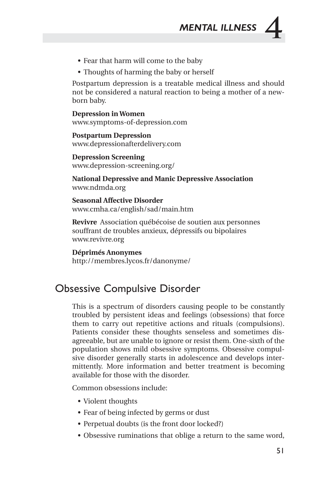

- Fear that harm will come to the baby
- Thoughts of harming the baby or herself

Postpartum depression is a treatable medical illness and should not be considered a natural reaction to being a mother of a newborn baby.

**Depression in Women** www.symptoms-of-depression.com

**Postpartum Depression** www.depressionafterdelivery.com

**Depression Screening**  www.depression-screening.org/

**National Depressive and Manic Depressive Association** www.ndmda.org

**Seasonal Affective Disorder** www.cmha.ca/english/sad/main.htm

**Revivre** Association québécoise de soutien aux personnes souffrant de troubles anxieux, dépressifs ou bipolaires www.revivre.org

#### **Déprimés Anonymes**

http://membres.lycos.fr/danonyme/

## Obsessive Compulsive Disorder

This is a spectrum of disorders causing people to be constantly troubled by persistent ideas and feelings (obsessions) that force them to carry out repetitive actions and rituals (compulsions). Patients consider these thoughts senseless and sometimes disagreeable, but are unable to ignore or resist them. One-sixth of the population shows mild obsessive symptoms. Obsessive compulsive disorder generally starts in adolescence and develops intermittently. More information and better treatment is becoming available for those with the disorder.

Common obsessions include:

- Violent thoughts
- Fear of being infected by germs or dust
- Perpetual doubts (is the front door locked?)
- Obsessive ruminations that oblige a return to the same word,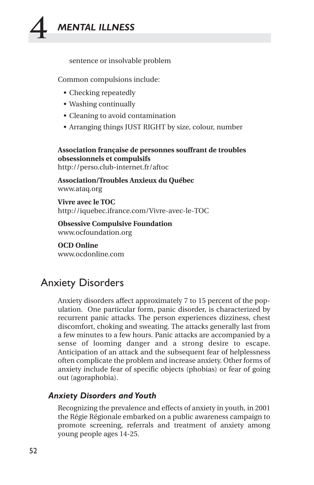

sentence or insolvable problem

Common compulsions include:

- Checking repeatedly
- Washing continually
- Cleaning to avoid contamination
- Arranging things JUST RIGHT by size, colour, number

**Association française de personnes souffrant de troubles obsessionnels et compulsifs**

http://perso.club-internet.fr/aftoc

**Association/Troubles Anxieux du Québec** www.ataq.org

**Vivre avec le TOC** http://iquebec.ifrance.com/Vivre-avec-le-TOC

**Obsessive Compulsive Foundation** www.ocfoundation.org

**OCD Online** www.ocdonline.com

## Anxiety Disorders

Anxiety disorders affect approximately 7 to 15 percent of the population. One particular form, panic disorder, is characterized by recurrent panic attacks. The person experiences dizziness, chest discomfort, choking and sweating. The attacks generally last from a few minutes to a few hours. Panic attacks are accompanied by a sense of looming danger and a strong desire to escape. Anticipation of an attack and the subsequent fear of helplessness often complicate the problem and increase anxiety. Other forms of anxiety include fear of specific objects (phobias) or fear of going out (agoraphobia).

#### *Anxiety Disorders and Youth*

Recognizing the prevalence and effects of anxiety in youth, in 2001 the Régie Régionale embarked on a public awareness campaign to promote screening, referrals and treatment of anxiety among young people ages 14-25.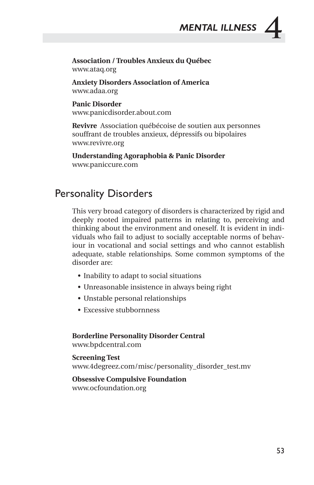

#### **Association / Troubles Anxieux du Québec** www.ataq.org

**Anxiety Disorders Association of America** www.adaa.org

**Panic Disorder** www.panicdisorder.about.com

**Revivre** Association québécoise de soutien aux personnes souffrant de troubles anxieux, dépressifs ou bipolaires www.revivre.org

**Understanding Agoraphobia & Panic Disorder** www.paniccure.com

## Personality Disorders

This very broad category of disorders is characterized by rigid and deeply rooted impaired patterns in relating to, perceiving and thinking about the environment and oneself. It is evident in individuals who fail to adjust to socially acceptable norms of behaviour in vocational and social settings and who cannot establish adequate, stable relationships. Some common symptoms of the disorder are:

- Inability to adapt to social situations
- Unreasonable insistence in always being right
- Unstable personal relationships
- Excessive stubbornness

**Borderline Personality Disorder Central**

www.bpdcentral.com

**Screening Test** www.4degreez.com/misc/personality\_disorder\_test.mv

**Obsessive Compulsive Foundation** www.ocfoundation.org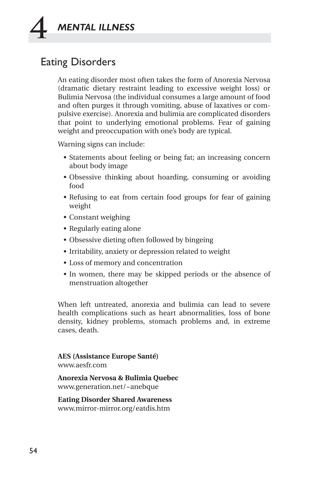

## Eating Disorders

An eating disorder most often takes the form of Anorexia Nervosa (dramatic dietary restraint leading to excessive weight loss) or Bulimia Nervosa (the individual consumes a large amount of food and often purges it through vomiting, abuse of laxatives or compulsive exercise). Anorexia and bulimia are complicated disorders that point to underlying emotional problems. Fear of gaining weight and preoccupation with one's body are typical.

Warning signs can include:

- Statements about feeling or being fat; an increasing concern about body image
- Obsessive thinking about hoarding, consuming or avoiding food
- Refusing to eat from certain food groups for fear of gaining weight
- Constant weighing
- Regularly eating alone
- Obsessive dieting often followed by bingeing
- Irritability, anxiety or depression related to weight
- Loss of memory and concentration
- In women, there may be skipped periods or the absence of menstruation altogether

When left untreated, anorexia and bulimia can lead to severe health complications such as heart abnormalities, loss of bone density, kidney problems, stomach problems and, in extreme cases, death.

**AES (Assistance Europe Santé)**  www.aesfr.com

**Anorexia Nervosa & Bulimia Quebec** www.generation.net/~anebque

**Eating Disorder Shared Awareness**  www.mirror-mirror.org/eatdis.htm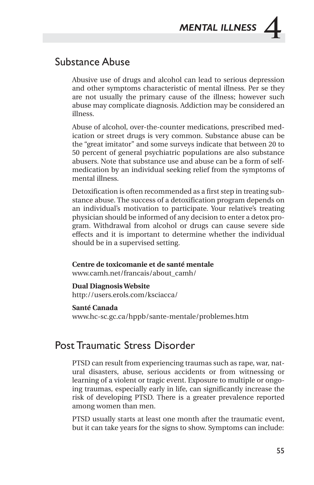

## Substance Abuse

Abusive use of drugs and alcohol can lead to serious depression and other symptoms characteristic of mental illness. Per se they are not usually the primary cause of the illness; however such abuse may complicate diagnosis. Addiction may be considered an illness.

Abuse of alcohol, over-the-counter medications, prescribed medication or street drugs is very common. Substance abuse can be the "great imitator" and some surveys indicate that between 20 to 50 percent of general psychiatric populations are also substance abusers. Note that substance use and abuse can be a form of selfmedication by an individual seeking relief from the symptoms of mental illness.

Detoxification is often recommended as a first step in treating substance abuse. The success of a detoxification program depends on an individual's motivation to participate. Your relative's treating physician should be informed of any decision to enter a detox program. Withdrawal from alcohol or drugs can cause severe side effects and it is important to determine whether the individual should be in a supervised setting.

#### **Centre de toxicomanie et de santé mentale**

www.camh.net/francais/about\_camh/

#### **Dual Diagnosis Website**

http://users.erols.com/ksciacca/

#### **Santé Canada**

www.hc-sc.gc.ca/hppb/sante-mentale/problemes.htm

## Post Traumatic Stress Disorder

PTSD can result from experiencing traumas such as rape, war, natural disasters, abuse, serious accidents or from witnessing or learning of a violent or tragic event. Exposure to multiple or ongoing traumas, especially early in life, can significantly increase the risk of developing PTSD. There is a greater prevalence reported among women than men.

PTSD usually starts at least one month after the traumatic event, but it can take years for the signs to show. Symptoms can include: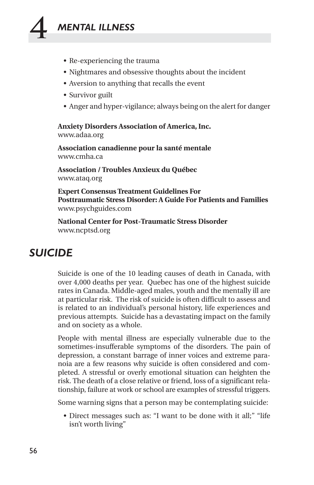## **4** *MENTAL ILLNESS*

- Re-experiencing the trauma
- Nightmares and obsessive thoughts about the incident
- Aversion to anything that recalls the event
- Survivor guilt
- Anger and hyper-vigilance; always being on the alert for danger

**Anxiety Disorders Association of America, Inc.** www.adaa.org

**Association canadienne pour la santé mentale**  www.cmha.ca

**Association / Troubles Anxieux du Québec** www.ataq.org

**Expert Consensus Treatment Guidelines For Posttraumatic Stress Disorder: A Guide For Patients and Families** www.psychguides.com

**National Center for Post-Traumatic Stress Disorder** www.ncptsd.org

## *SUICIDE*

Suicide is one of the 10 leading causes of death in Canada, with over 4,000 deaths per year. Quebec has one of the highest suicide rates in Canada. Middle-aged males, youth and the mentally ill are at particular risk. The risk of suicide is often difficult to assess and is related to an individual's personal history, life experiences and previous attempts. Suicide has a devastating impact on the family and on society as a whole.

People with mental illness are especially vulnerable due to the sometimes-insufferable symptoms of the disorders. The pain of depression, a constant barrage of inner voices and extreme paranoia are a few reasons why suicide is often considered and completed. A stressful or overly emotional situation can heighten the risk. The death of a close relative or friend, loss of a significant relationship, failure at work or school are examples of stressful triggers.

Some warning signs that a person may be contemplating suicide:

• Direct messages such as: "I want to be done with it all;" "life isn't worth living"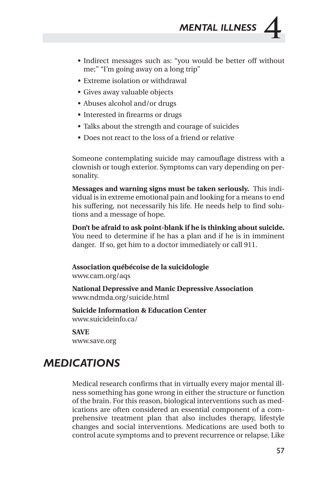

- Indirect messages such as: "you would be better off without me;" "I'm going away on a long trip"
- Extreme isolation or withdrawal
- Gives away valuable objects
- Abuses alcohol and/or drugs
- Interested in firearms or drugs
- Talks about the strength and courage of suicides
- Does not react to the loss of a friend or relative

Someone contemplating suicide may camouflage distress with a clownish or tough exterior. Symptoms can vary depending on personality.

**Messages and warning signs must be taken seriously.** This individual is in extreme emotional pain and looking for a means to end his suffering, not necessarily his life. He needs help to find solutions and a message of hope.

**Don't be afraid to ask point-blank if he is thinking about suicide.** You need to determine if he has a plan and if he is in imminent danger. If so, get him to a doctor immediately or call 911.

**Association québécoise de la suicidologie**  www.cam.org/aqs

**National Depressive and Manic Depressive Association** www.ndmda.org/suicide.html

**Suicide Information & Education Center** www.suicideinfo.ca/

#### **SAVE**

www.save.org

## *MEDICATIONS*

Medical research confirms that in virtually every major mental illness something has gone wrong in either the structure or function of the brain. For this reason, biological interventions such as medications are often considered an essential component of a comprehensive treatment plan that also includes therapy, lifestyle changes and social interventions. Medications are used both to control acute symptoms and to prevent recurrence or relapse. Like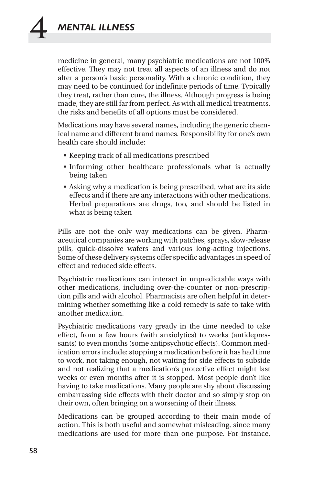medicine in general, many psychiatric medications are not 100% effective. They may not treat all aspects of an illness and do not alter a person's basic personality. With a chronic condition, they may need to be continued for indefinite periods of time. Typically they treat, rather than cure, the illness. Although progress is being made, they are still far from perfect. As with all medical treatments, the risks and benefits of all options must be considered.

Medications may have several names, including the generic chemical name and different brand names. Responsibility for one's own health care should include:

- Keeping track of all medications prescribed
- Informing other healthcare professionals what is actually being taken
- Asking why a medication is being prescribed, what are its side effects and if there are any interactions with other medications. Herbal preparations are drugs, too, and should be listed in what is being taken

Pills are not the only way medications can be given. Pharmaceutical companies are working with patches, sprays, slow-release pills, quick-dissolve wafers and various long-acting injections. Some of these delivery systems offer specific advantages in speed of effect and reduced side effects.

Psychiatric medications can interact in unpredictable ways with other medications, including over-the-counter or non-prescription pills and with alcohol. Pharmacists are often helpful in determining whether something like a cold remedy is safe to take with another medication.

Psychiatric medications vary greatly in the time needed to take effect, from a few hours (with anxiolytics) to weeks (antidepressants) to even months (some antipsychotic effects). Common medication errors include: stopping a medication before it has had time to work, not taking enough, not waiting for side effects to subside and not realizing that a medication's protective effect might last weeks or even months after it is stopped. Most people don't like having to take medications. Many people are shy about discussing embarrassing side effects with their doctor and so simply stop on their own, often bringing on a worsening of their illness.

Medications can be grouped according to their main mode of action. This is both useful and somewhat misleading, since many medications are used for more than one purpose. For instance,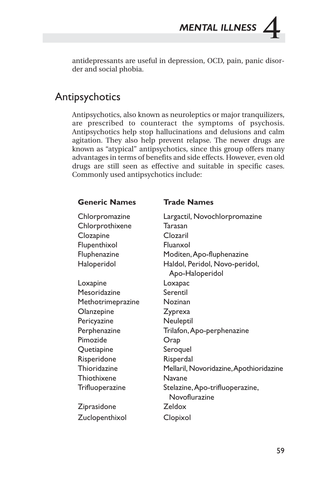antidepressants are useful in depression, OCD, pain, panic disorder and social phobia.

## Antipsychotics

Antipsychotics, also known as neuroleptics or major tranquilizers, are prescribed to counteract the symptoms of psychosis. Antipsychotics help stop hallucinations and delusions and calm agitation. They also help prevent relapse. The newer drugs are known as "atypical" antipsychotics, since this group offers many advantages in terms of benefits and side effects. However, even old drugs are still seen as effective and suitable in specific cases. Commonly used antipsychotics include:

#### **Generic Names Trade Names**

| Chlorpromazine    | Largactil, Novochlorpromazine           |
|-------------------|-----------------------------------------|
|                   | Tarasan                                 |
| Chlorprothixene   |                                         |
| Clozapine         | Clozaril                                |
| Flupenthixol      | Fluanxol                                |
| Fluphenazine      | Moditen, Apo-fluphenazine               |
| Haloperidol       | Haldol, Peridol, Novo-peridol,          |
|                   | Apo-Haloperidol                         |
| Loxapine          | Loxapac                                 |
| Mesoridazine      | Serentil                                |
| Methotrimeprazine | Nozinan                                 |
| Olanzepine        | Zyprexa                                 |
| Pericyazine       | Neuleptil                               |
| Perphenazine      | Trilafon, Apo-perphenazine              |
| Pimozide          | Orap                                    |
| Quetiapine        | Seroquel                                |
| Risperidone       | Risperdal                               |
| Thioridazine      | Mellaril, Novoridazine, Apothioridazine |
| Thiothixene       | Navane                                  |
| Trifluoperazine   | Stelazine, Apo-trifluoperazine,         |
|                   | Novoflurazine                           |
| Ziprasidone       | Zeldox                                  |
| Zuclopenthixol    | Clopixol                                |
|                   |                                         |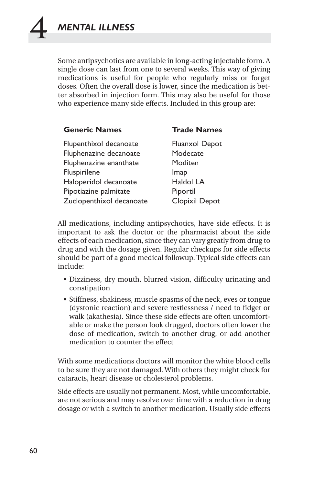Some antipsychotics are available in long-acting injectable form. A single dose can last from one to several weeks. This way of giving medications is useful for people who regularly miss or forget doses. Often the overall dose is lower, since the medication is better absorbed in injection form. This may also be useful for those who experience many side effects. Included in this group are:

| <b>Generic Names</b>     | <b>Trade Names</b>    |
|--------------------------|-----------------------|
| Flupenthixol decanoate   | <b>Fluanxol Depot</b> |
| Fluphenazine decanoate   | Modecate              |
| Fluphenazine enanthate   | Moditen               |
| Fluspirilene             | Imap                  |
| Haloperidol decanoate    | Haldol LA             |
| Pipotiazine palmitate    | Piportil              |
| Zuclopenthixol decanoate | Clopixil Depot        |

All medications, including antipsychotics, have side effects. It is important to ask the doctor or the pharmacist about the side effects of each medication, since they can vary greatly from drug to drug and with the dosage given. Regular checkups for side effects should be part of a good medical followup. Typical side effects can include:

- Dizziness, dry mouth, blurred vision, difficulty urinating and constipation
- Stiffness, shakiness, muscle spasms of the neck, eyes or tongue (dystonic reaction) and severe restlessness / need to fidget or walk (akathesia). Since these side effects are often uncomfortable or make the person look drugged, doctors often lower the dose of medication, switch to another drug, or add another medication to counter the effect

With some medications doctors will monitor the white blood cells to be sure they are not damaged. With others they might check for cataracts, heart disease or cholesterol problems.

Side effects are usually not permanent. Most, while uncomfortable, are not serious and may resolve over time with a reduction in drug dosage or with a switch to another medication. Usually side effects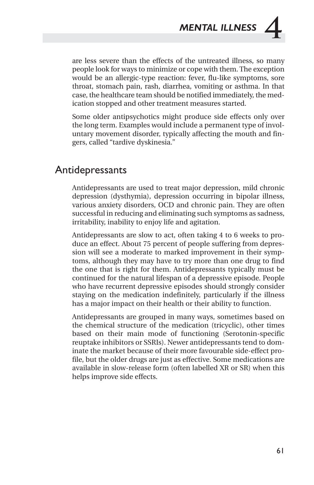are less severe than the effects of the untreated illness, so many people look for ways to minimize or cope with them. The exception would be an allergic-type reaction: fever, flu-like symptoms, sore throat, stomach pain, rash, diarrhea, vomiting or asthma. In that case, the healthcare team should be notified immediately, the medication stopped and other treatment measures started.

Some older antipsychotics might produce side effects only over the long term. Examples would include a permanent type of involuntary movement disorder, typically affecting the mouth and fingers, called "tardive dyskinesia."

## Antidepressants

Antidepressants are used to treat major depression, mild chronic depression (dysthymia), depression occurring in bipolar illness, various anxiety disorders, OCD and chronic pain. They are often successful in reducing and eliminating such symptoms as sadness, irritability, inability to enjoy life and agitation.

Antidepressants are slow to act, often taking 4 to 6 weeks to produce an effect. About 75 percent of people suffering from depression will see a moderate to marked improvement in their symptoms, although they may have to try more than one drug to find the one that is right for them. Antidepressants typically must be continued for the natural lifespan of a depressive episode. People who have recurrent depressive episodes should strongly consider staying on the medication indefinitely, particularly if the illness has a major impact on their health or their ability to function.

Antidepressants are grouped in many ways, sometimes based on the chemical structure of the medication (tricyclic), other times based on their main mode of functioning (Serotonin-specific reuptake inhibitors or SSRIs). Newer antidepressants tend to dominate the market because of their more favourable side-effect profile, but the older drugs are just as effective. Some medications are available in slow-release form (often labelled XR or SR) when this helps improve side effects.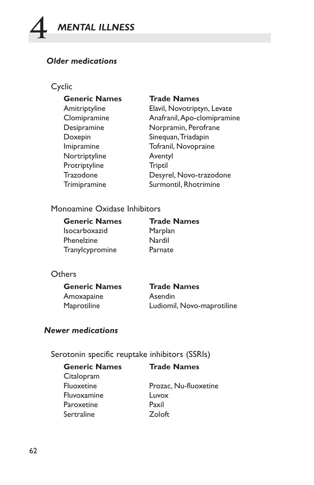

## *Older medications*

## Cyclic

| <b>Generic Names</b> | <b>Trade Names</b>          |
|----------------------|-----------------------------|
| Amitriptyline        | Elavil, Novotriptyn, Levate |
| Clomipramine         | Anafranil, Apo-clomipramine |
| Desipramine          | Norpramin, Perofrane        |
| Doxepin              | Sinequan, Triadapin         |
| Imipramine           | Tofranil, Novopraine        |
| Nortriptyline        | Aventyl                     |
| Protriptyline        | Triptil                     |
| Trazodone            | Desyrel, Novo-trazodone     |
| Trimipramine         | Surmontil, Rhotrimine       |
|                      |                             |

## Monoamine Oxidase Inhibitors

| <b>Generic Names</b> | <b>Trade Names</b> |
|----------------------|--------------------|
| <b>Isocarboxazid</b> | Marplan            |
| Phenelzine           | Nardil             |
| Tranylcypromine      | Parnate            |

## **Others**

| <b>Generic Names</b> | <b>Trade Names</b>         |
|----------------------|----------------------------|
| Amoxapaine           | Asendin                    |
| Maprotiline          | Ludiomil, Novo-maprotiline |

## *Newer medications*

Serotonin specific reuptake inhibitors (SSRIs)

| <b>Generic Names</b> | <b>Trade Names</b>    |
|----------------------|-----------------------|
| Citalopram           |                       |
| Fluoxetine           | Prozac, Nu-fluoxetine |
| Fluvoxamine          | Luvox                 |
| Paroxetine           | Paxil                 |
| Sertraline           | Zoloft                |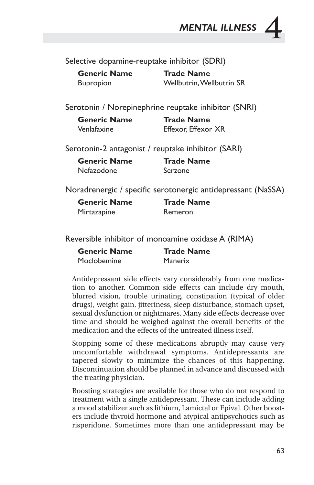*MENTAL ILLNESS* **4**

Selective dopamine-reuptake inhibitor (SDRI)

| <b>Generic Name</b> | <b>Trade Name</b>         |
|---------------------|---------------------------|
| <b>Bupropion</b>    | Wellbutrin, Wellbutrin SR |

Serotonin / Norepinephrine reuptake inhibitor (SNRI)

| <b>Generic Name</b> | <b>Trade Name</b>   |
|---------------------|---------------------|
| Venlafaxine         | Effexor, Effexor XR |

Serotonin-2 antagonist / reuptake inhibitor (SARI)

| <b>Generic Name</b> | <b>Trade Name</b> |
|---------------------|-------------------|
| Nefazodone          | Serzone           |

Noradrenergic / specific serotonergic antidepressant (NaSSA)

| <b>Generic Name</b> | <b>Trade Name</b> |
|---------------------|-------------------|
| Mirtazapine         | Remeron           |

Reversible inhibitor of monoamine oxidase A (RIMA)

| <b>Generic Name</b> | <b>Trade Name</b> |
|---------------------|-------------------|
| Moclobemine         | Manerix           |

Antidepressant side effects vary considerably from one medication to another. Common side effects can include dry mouth, blurred vision, trouble urinating, constipation (typical of older drugs), weight gain, jitteriness, sleep disturbance, stomach upset, sexual dysfunction or nightmares. Many side effects decrease over time and should be weighed against the overall benefits of the medication and the effects of the untreated illness itself.

Stopping some of these medications abruptly may cause very uncomfortable withdrawal symptoms. Antidepressants are tapered slowly to minimize the chances of this happening. Discontinuation should be planned in advance and discussed with the treating physician.

Boosting strategies are available for those who do not respond to treatment with a single antidepressant. These can include adding a mood stabilizer such as lithium, Lamictal or Epival. Other boosters include thyroid hormone and atypical antipsychotics such as risperidone. Sometimes more than one antidepressant may be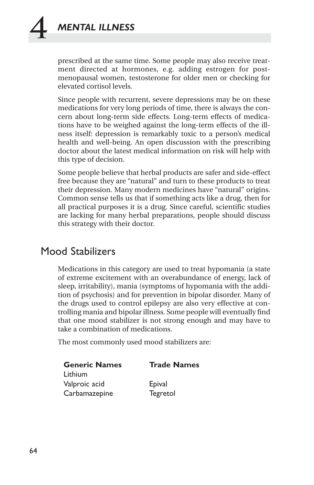prescribed at the same time. Some people may also receive treatment directed at hormones, e.g. adding estrogen for postmenopausal women, testosterone for older men or checking for elevated cortisol levels.

Since people with recurrent, severe depressions may be on these medications for very long periods of time, there is always the concern about long-term side effects. Long-term effects of medications have to be weighed against the long-term effects of the illness itself: depression is remarkably toxic to a person's medical health and well-being. An open discussion with the prescribing doctor about the latest medical information on risk will help with this type of decision.

Some people believe that herbal products are safer and side-effect free because they are "natural" and turn to these products to treat their depression. Many modern medicines have "natural" origins. Common sense tells us that if something acts like a drug, then for all practical purposes it is a drug. Since careful, scientific studies are lacking for many herbal preparations, people should discuss this strategy with their doctor.

#### Mood Stabilizers

Medications in this category are used to treat hypomania (a state of extreme excitement with an overabundance of energy, lack of sleep, irritability), mania (symptoms of hypomania with the addition of psychosis) and for prevention in bipolar disorder. Many of the drugs used to control epilepsy are also very effective at controlling mania and bipolar illness. Some people will eventually find that one mood stabilizer is not strong enough and may have to take a combination of medications.

The most commonly used mood stabilizers are:

| <b>Generic Names</b> | <b>Trade Names</b> |
|----------------------|--------------------|
| Lithium              |                    |
| Valproic acid        | Epival             |
| Carbamazepine        | Tegretol           |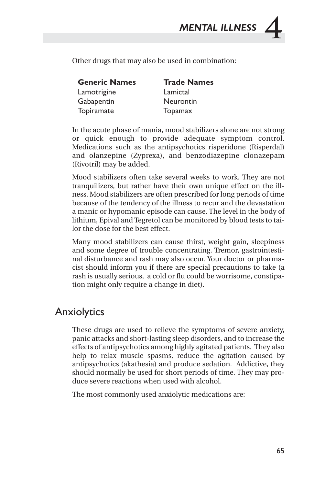*MENTAL ILLNESS* **4**

Other drugs that may also be used in combination:

| <b>Generic Names</b> | <b>Trade Names</b> |
|----------------------|--------------------|
| Lamotrigine          | Lamictal           |
| Gabapentin           | Neurontin          |
| Topiramate           | Topamax            |

In the acute phase of mania, mood stabilizers alone are not strong or quick enough to provide adequate symptom control. Medications such as the antipsychotics risperidone (Risperdal) and olanzepine (Zyprexa), and benzodiazepine clonazepam (Rivotril) may be added.

Mood stabilizers often take several weeks to work. They are not tranquilizers, but rather have their own unique effect on the illness. Mood stabilizers are often prescribed for long periods of time because of the tendency of the illness to recur and the devastation a manic or hypomanic episode can cause. The level in the body of lithium, Epival and Tegretol can be monitored by blood tests to tailor the dose for the best effect.

Many mood stabilizers can cause thirst, weight gain, sleepiness and some degree of trouble concentrating. Tremor, gastrointestinal disturbance and rash may also occur. Your doctor or pharmacist should inform you if there are special precautions to take (a rash is usually serious, a cold or flu could be worrisome, constipation might only require a change in diet).

#### Anxiolytics

These drugs are used to relieve the symptoms of severe anxiety, panic attacks and short-lasting sleep disorders, and to increase the effects of antipsychotics among highly agitated patients. They also help to relax muscle spasms, reduce the agitation caused by antipsychotics (akathesia) and produce sedation. Addictive, they should normally be used for short periods of time. They may produce severe reactions when used with alcohol.

The most commonly used anxiolytic medications are: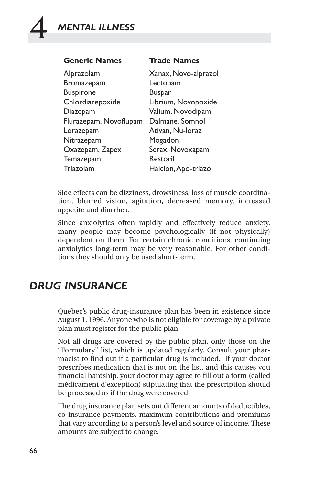| <b>Generic Names</b>   | <b>Trade Names</b>   |
|------------------------|----------------------|
| Alprazolam             | Xanax, Novo-alprazol |
| Bromazepam             | Lectopam             |
| <b>Buspirone</b>       | Buspar               |
| Chlordiazepoxide       | Librium, Novopoxide  |
| Diazepam               | Valium, Novodipam    |
| Flurazepam, Novoflupam | Dalmane, Somnol      |
| Lorazepam              | Ativan, Nu-Ioraz     |
| Nitrazepam             | Mogadon              |
| Oxazepam, Zapex        | Serax, Novoxapam     |
| Temazepam              | Restoril             |
| Triazolam              | Halcion, Apo-triazo  |

Side effects can be dizziness, drowsiness, loss of muscle coordination, blurred vision, agitation, decreased memory, increased appetite and diarrhea.

Since anxiolytics often rapidly and effectively reduce anxiety, many people may become psychologically (if not physically) dependent on them. For certain chronic conditions, continuing anxiolytics long-term may be very reasonable. For other conditions they should only be used short-term.

## *DRUG INSURANCE*

Quebec's public drug-insurance plan has been in existence since August 1, 1996. Anyone who is not eligible for coverage by a private plan must register for the public plan.

Not all drugs are covered by the public plan, only those on the "Formulary" list, which is updated regularly. Consult your pharmacist to find out if a particular drug is included. If your doctor prescribes medication that is not on the list, and this causes you financial hardship, your doctor may agree to fill out a form (called médicament d'exception) stipulating that the prescription should be processed as if the drug were covered.

The drug insurance plan sets out different amounts of deductibles, co-insurance payments, maximum contributions and premiums that vary according to a person's level and source of income. These amounts are subject to change.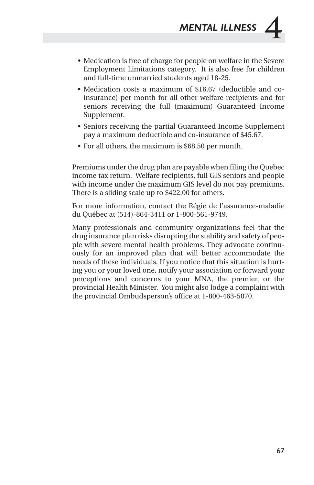- Medication is free of charge for people on welfare in the Severe Employment Limitations category. It is also free for children and full-time unmarried students aged 18-25.
- Medication costs a maximum of \$16.67 (deductible and coinsurance) per month for all other welfare recipients and for seniors receiving the full (maximum) Guaranteed Income Supplement.
- Seniors receiving the partial Guaranteed Income Supplement pay a maximum deductible and co-insurance of \$45.67.
- For all others, the maximum is \$68.50 per month.

Premiums under the drug plan are payable when filing the Quebec income tax return. Welfare recipients, full GIS seniors and people with income under the maximum GIS level do not pay premiums. There is a sliding scale up to \$422.00 for others.

For more information, contact the Régie de l'assurance-maladie du Québec at (514)-864-3411 or 1-800-561-9749.

Many professionals and community organizations feel that the drug insurance plan risks disrupting the stability and safety of people with severe mental health problems. They advocate continuously for an improved plan that will better accommodate the needs of these individuals. If you notice that this situation is hurting you or your loved one, notify your association or forward your perceptions and concerns to your MNA, the premier, or the provincial Health Minister. You might also lodge a complaint with the provincial Ombudsperson's office at 1-800-463-5070.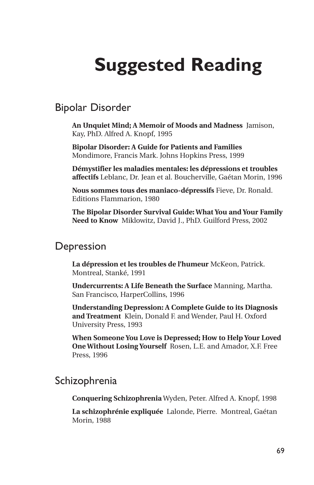# **Suggested Reading**

Bipolar Disorder

**An Unquiet Mind; A Memoir of Moods and Madness** Jamison, Kay, PhD. Alfred A. Knopf, 1995

**Bipolar Disorder: A Guide for Patients and Families** Mondimore, Francis Mark. Johns Hopkins Press, 1999

**Démystifier les maladies mentales: les dépressions et troubles affectifs** Leblanc, Dr. Jean et al. Boucherville, Gaétan Morin, 1996

**Nous sommes tous des maniaco-dépressifs** Fieve, Dr. Ronald. Editions Flammarion, 1980

**The Bipolar Disorder Survival Guide: What You and Your Family Need to Know** Miklowitz, David J., PhD. Guilford Press, 2002

#### **Depression**

**La dépression et les troubles de l'humeur** McKeon, Patrick. Montreal, Stanké, 1991

**Undercurrents: A Life Beneath the Surface** Manning, Martha. San Francisco, HarperCollins, 1996

**Understanding Depression: A Complete Guide to its Diagnosis and Treatment** Klein, Donald F. and Wender, Paul H. Oxford University Press, 1993

**When Someone You Love is Depressed; How to Help Your Loved One Without Losing Yourself** Rosen, L.E. and Amador, X.F. Free Press, 1996

#### Schizophrenia

**Conquering Schizophrenia** Wyden, Peter. Alfred A. Knopf, 1998

**La schizophrénie expliquée** Lalonde, Pierre. Montreal, Gaétan Morin, 1988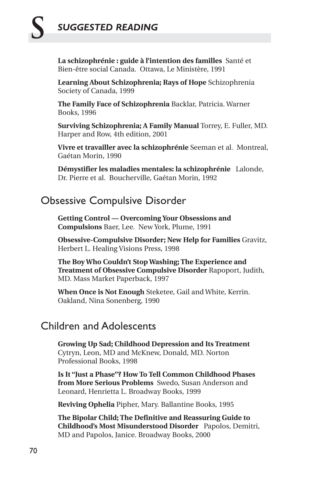# **S** *SUGGESTED READING*

**La schizophrénie : guide à l'intention des familles** Santé et Bien-être social Canada. Ottawa, Le Ministère, 1991

**Learning About Schizophrenia; Rays of Hope** Schizophrenia Society of Canada, 1999

**The Family Face of Schizophrenia** Backlar, Patricia. Warner Books, 1996

**Surviving Schizophrenia; A Family Manual** Torrey, E. Fuller, MD. Harper and Row, 4th edition, 2001

**Vivre et travailler avec la schizophrénie** Seeman et al. Montreal, Gaétan Morin, 1990

**Démystifier les maladies mentales: la schizophrénie** Lalonde, Dr. Pierre et al. Boucherville, Gaétan Morin, 1992

#### Obsessive Compulsive Disorder

**Getting Control — Overcoming Your Obsessions and Compulsions** Baer, Lee. New York, Plume, 1991

**Obsessive-Compulsive Disorder; New Help for Families** Gravitz, Herbert L. Healing Visions Press, 1998

**The Boy Who Couldn't Stop Washing; The Experience and Treatment of Obsessive Compulsive Disorder** Rapoport, Judith, MD. Mass Market Paperback, 1997

**When Once is Not Enough** Steketee, Gail and White, Kerrin. Oakland, Nina Sonenberg, 1990

## Children and Adolescents

**Growing Up Sad; Childhood Depression and Its Treatment** Cytryn, Leon, MD and McKnew, Donald, MD. Norton Professional Books, 1998

**Is It "Just a Phase"? How To Tell Common Childhood Phases from More Serious Problems** Swedo, Susan Anderson and Leonard, Henrietta L. Broadway Books, 1999

**Reviving Ophelia** Pipher, Mary. Ballantine Books, 1995

**The Bipolar Child; The Definitive and Reassuring Guide to Childhood's Most Misunderstood Disorder** Papolos, Demitri, MD and Papolos, Janice. Broadway Books, 2000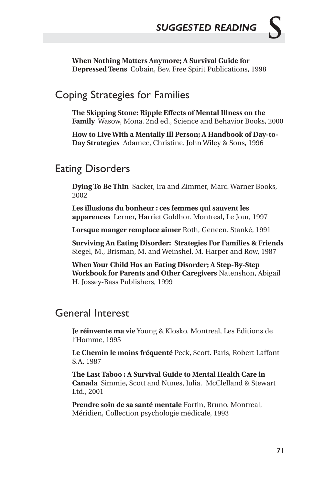**When Nothing Matters Anymore; A Survival Guide for Depressed Teens** Cobain, Bev. Free Spirit Publications, 1998

#### Coping Strategies for Families

**The Skipping Stone: Ripple Effects of Mental Illness on the Family** Wasow, Mona. 2nd ed., Science and Behavior Books, 2000

**How to Live With a Mentally Ill Person; A Handbook of Day-to-Day Strategies** Adamec, Christine. John Wiley & Sons, 1996

## Eating Disorders

**Dying To Be Thin** Sacker, Ira and Zimmer, Marc. Warner Books, 2002

**Les illusions du bonheur : ces femmes qui sauvent les apparences** Lerner, Harriet Goldhor. Montreal, Le Jour, 1997

**Lorsque manger remplace aimer** Roth, Geneen. Stanké, 1991

**Surviving An Eating Disorder: Strategies For Families & Friends** Siegel, M., Brisman, M. and Weinshel, M. Harper and Row, 1987

**When Your Child Has an Eating Disorder; A Step-By-Step Workbook for Parents and Other Caregivers** Natenshon, Abigail H. Jossey-Bass Publishers, 1999

#### General Interest

**Je réinvente ma vie** Young & Klosko. Montreal, Les Editions de l'Homme, 1995

**Le Chemin le moins fréquenté** Peck, Scott. Paris, Robert Laffont S.A, 1987

**The Last Taboo : A Survival Guide to Mental Health Care in Canada** Simmie, Scott and Nunes, Julia. McClelland & Stewart Ltd., 2001

**Prendre soin de sa santé mentale** Fortin, Bruno. Montreal, Méridien, Collection psychologie médicale, 1993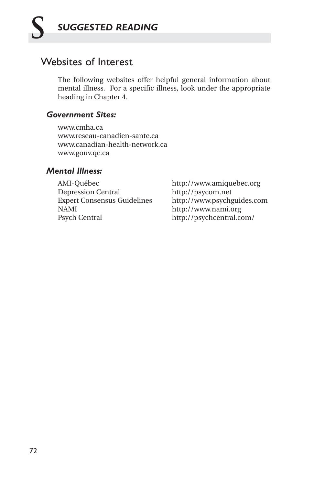#### Websites of Interest

The following websites offer helpful general information about mental illness. For a specific illness, look under the appropriate heading in Chapter 4.

#### *Government Sites:*

www.cmha.ca www.reseau-canadien-sante.ca www.canadian-health-network.ca www.gouv.qc.ca

#### *Mental Illness:*

AMI-Québec http://www.amiquebec.org<br>Depression Central http://psycom.net Depression Central Expert Consensus Guidelines http://www.psychguides.com NAMI http://www.nami.org Psych Central http://psychcentral.com/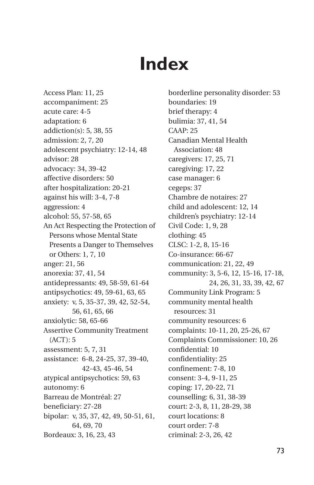# **Index**

Access Plan: 11, 25 accompaniment: 25 acute care: 4-5 adaptation: 6 addiction(s): 5, 38, 55 admission: 2, 7, 20 adolescent psychiatry: 12-14, 48 advisor: 28 advocacy: 34, 39-42 affective disorders: 50 after hospitalization: 20-21 against his will: 3-4, 7-8 aggression: 4 alcohol: 55, 57-58, 65 An Act Respecting the Protection of Persons whose Mental State Presents a Danger to Themselves or Others: 1, 7, 10 anger: 21, 56 anorexia: 37, 41, 54 antidepressants: 49, 58-59, 61-64 antipsychotics: 49, 59-61, 63, 65 anxiety: v, 5, 35-37, 39, 42, 52-54, 56, 61, 65, 66 anxiolytic: 58, 65-66 Assertive Community Treatment (ACT): 5 assessment: 5, 7, 31 assistance: 6-8, 24-25, 37, 39-40, 42-43, 45-46, 54 atypical antipsychotics: 59, 63 autonomy: 6 Barreau de Montréal: 27 beneficiary: 27-28 bipolar: v, 35, 37, 42, 49, 50-51, 61, 64, 69, 70 Bordeaux: 3, 16, 23, 43

borderline personality disorder: 53 boundaries: 19 brief therapy: 4 bulimia: 37, 41, 54 CAAP: 25 Canadian Mental Health Association: 48 caregivers: 17, 25, 71 caregiving: 17, 22 case manager: 6 cegeps: 37 Chambre de notaires: 27 child and adolescent: 12, 14 children's psychiatry: 12-14 Civil Code: 1, 9, 28 clothing: 45 CLSC: 1-2, 8, 15-16 Co-insurance: 66-67 communication: 21, 22, 49 community: 3, 5-6, 12, 15-16, 17-18, 24, 26, 31, 33, 39, 42, 67 Community Link Program: 5 community mental health resources: 31 community resources: 6 complaints: 10-11, 20, 25-26, 67 Complaints Commissioner: 10, 26 confidential: 10 confidentiality: 25 confinement: 7-8, 10 consent: 3-4, 9-11, 25 coping: 17, 20-22, 71 counselling: 6, 31, 38-39 court: 2-3, 8, 11, 28-29, 38 court locations: 8 court order: 7-8 criminal: 2-3, 26, 42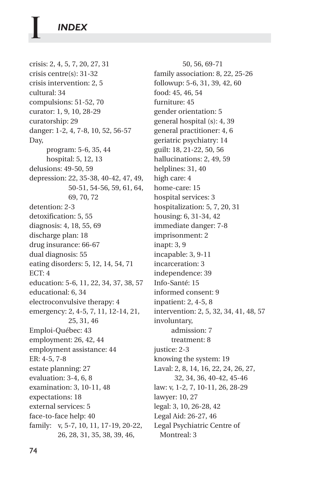crisis: 2, 4, 5, 7, 20, 27, 31 crisis centre(s): 31-32 crisis intervention: 2, 5 cultural: 34 compulsions: 51-52, 70 curator: 1, 9, 10, 28-29 curatorship: 29 danger: 1-2, 4, 7-8, 10, 52, 56-57 Day, program: 5-6, 35, 44 hospital: 5, 12, 13 delusions: 49-50, 59 depression: 22, 35-38, 40-42, 47, 49, 50-51, 54-56, 59, 61, 64, 69, 70, 72 detention: 2-3 detoxification: 5, 55 diagnosis: 4, 18, 55, 69 discharge plan: 18 drug insurance: 66-67 dual diagnosis: 55 eating disorders: 5, 12, 14, 54, 71 ECT: 4 education: 5-6, 11, 22, 34, 37, 38, 57 educational: 6, 34 electroconvulsive therapy: 4 emergency: 2, 4-5, 7, 11, 12-14, 21, 25, 31, 46 Emploi-Québec: 43 employment: 26, 42, 44 employment assistance: 44 ER: 4-5, 7-8 estate planning: 27 evaluation: 3-4, 6, 8 examination: 3, 10-11, 48 expectations: 18 external services: 5 face-to-face help: 40 family: v, 5-7, 10, 11, 17-19, 20-22, 26, 28, 31, 35, 38, 39, 46,

50, 56, 69-71 family association: 8, 22, 25-26 followup: 5-6, 31, 39, 42, 60 food: 45, 46, 54 furniture: 45 gender orientation: 5 general hospital (s): 4, 39 general practitioner: 4, 6 geriatric psychiatry: 14 guilt: 18, 21-22, 50, 56 hallucinations: 2, 49, 59 helplines: 31, 40 high care: 4 home-care: 15 hospital services: 3 hospitalization: 5, 7, 20, 31 housing: 6, 31-34, 42 immediate danger: 7-8 imprisonment: 2 inapt: 3, 9 incapable: 3, 9-11 incarceration: 3 independence: 39 Info-Santé: 15 informed consent: 9 inpatient: 2, 4-5, 8 intervention: 2, 5, 32, 34, 41, 48, 57 involuntary, admission: 7 treatment: 8 justice: 2-3 knowing the system: 19 Laval: 2, 8, 14, 16, 22, 24, 26, 27, 32, 34, 36, 40-42, 45-46 law: v, 1-2, 7, 10-11, 26, 28-29 lawyer: 10, 27 legal: 3, 10, 26-28, 42 Legal Aid: 26-27, 46 Legal Psychiatric Centre of Montreal: 3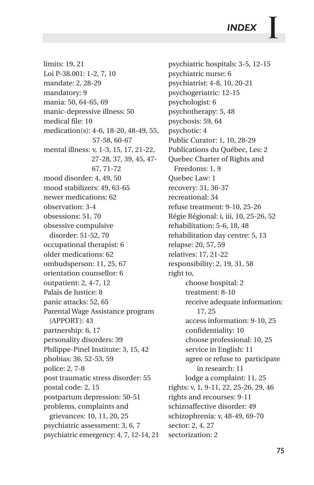limits: 19, 21 Loi P-38.001: 1-2, 7, 10 mandate: 2, 28-29 mandatory: 9 mania: 50, 64-65, 69 manic-depressive illness: 50 medical file: 10 medication(s): 4-6, 18-20, 48-49, 55, 57-58, 60-67 mental illness: v, 1-3, 15, 17, 21-22, 27-28, 37, 39, 45, 47- 67, 71-72 mood disorder: 4, 49, 50 mood stabilizers: 49, 63-65 newer medications: 62 observation: 3-4 obsessions: 51, 70 obsessive compulsive disorder: 51-52, 70 occupational therapist: 6 older medications: 62 ombudsperson: 11, 25, 67 orientation counsellor: 6 outpatient: 2, 4-7, 12 Palais de Justice: 8 panic attacks: 52, 65 Parental Wage Assistance program (APPORT): 43 partnership: 6, 17 personality disorders: 39 Philippe-Pinel Institute: 3, 15, 42 phobias: 36, 52-53, 59 police: 2, 7-8 post traumatic stress disorder: 55 postal code: 2, 15 postpartum depression: 50-51 problems, complaints and grievances: 10, 11, 20, 25 psychiatric assessment: 3, 6, 7 psychiatric emergency: 4, 7, 12-14, 21 psychiatric hospitals: 3-5, 12-15 psychiatric nurse: 6 psychiatrist: 4-8, 10, 20-21 psychogeriatric: 12-15 psychologist: 6 psychotherapy: 5, 48 psychosis: 59, 64 psychotic: 4 Public Curator: 1, 10, 28-29 Publications du Québec, Les: 2 Quebec Charter of Rights and Freedoms: 1, 9 Quebec Law: 1 recovery: 31, 36-37 recreational: 34 refuse treatment: 9-10, 25-26 Régie Régional: i, iii, 10, 25-26, 52 rehabilitation: 5-6, 18, 48 rehabilitation day centre: 5, 13 relapse: 20, 57, 59 relatives: 17, 21-22 responsibility: 2, 19, 31, 58 right to, choose hospital: 2 treatment: 8-10 receive adequate information: 17, 25 access information: 9-10, 25 confidentiality: 10 choose professional: 10, 25 service in English: 11 agree or refuse to participate in research: 11 lodge a complaint: 11, 25 rights: v, 1, 9-11, 22, 25-26, 29, 46 rights and recourses: 9-11 schizoaffective disorder: 49 schizophrenia: v, 48-49, 69-70 sector: 2, 4, 27 sectorization: 2